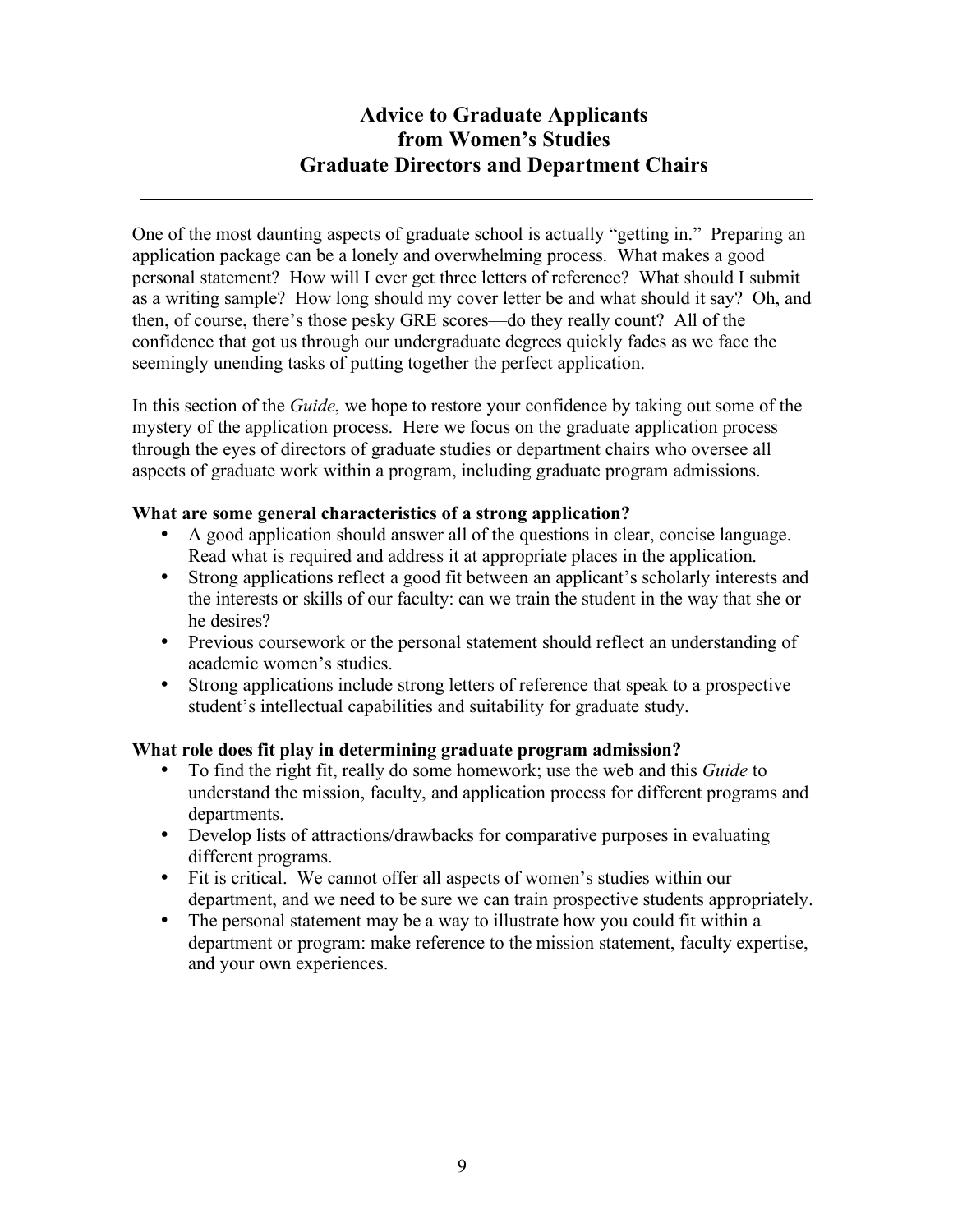# **Advice to Graduate Applicants from Women's Studies Graduate Directors and Department Chairs**

One of the most daunting aspects of graduate school is actually "getting in." Preparing an application package can be a lonely and overwhelming process. What makes a good personal statement? How will I ever get three letters of reference? What should I submit as a writing sample? How long should my cover letter be and what should it say? Oh, and then, of course, there's those pesky GRE scores—do they really count? All of the confidence that got us through our undergraduate degrees quickly fades as we face the seemingly unending tasks of putting together the perfect application.

In this section of the *Guide*, we hope to restore your confidence by taking out some of the mystery of the application process. Here we focus on the graduate application process through the eyes of directors of graduate studies or department chairs who oversee all aspects of graduate work within a program, including graduate program admissions.

# **What are some general characteristics of a strong application?**

- A good application should answer all of the questions in clear, concise language. Read what is required and address it at appropriate places in the application.
- Strong applications reflect a good fit between an applicant's scholarly interests and the interests or skills of our faculty: can we train the student in the way that she or he desires?
- Previous coursework or the personal statement should reflect an understanding of academic women's studies.
- Strong applications include strong letters of reference that speak to a prospective student's intellectual capabilities and suitability for graduate study.

# **What role does fit play in determining graduate program admission?**

- To find the right fit, really do some homework; use the web and this *Guide* to understand the mission, faculty, and application process for different programs and departments.
- Develop lists of attractions/drawbacks for comparative purposes in evaluating different programs.
- Fit is critical. We cannot offer all aspects of women's studies within our department, and we need to be sure we can train prospective students appropriately.
- The personal statement may be a way to illustrate how you could fit within a department or program: make reference to the mission statement, faculty expertise, and your own experiences.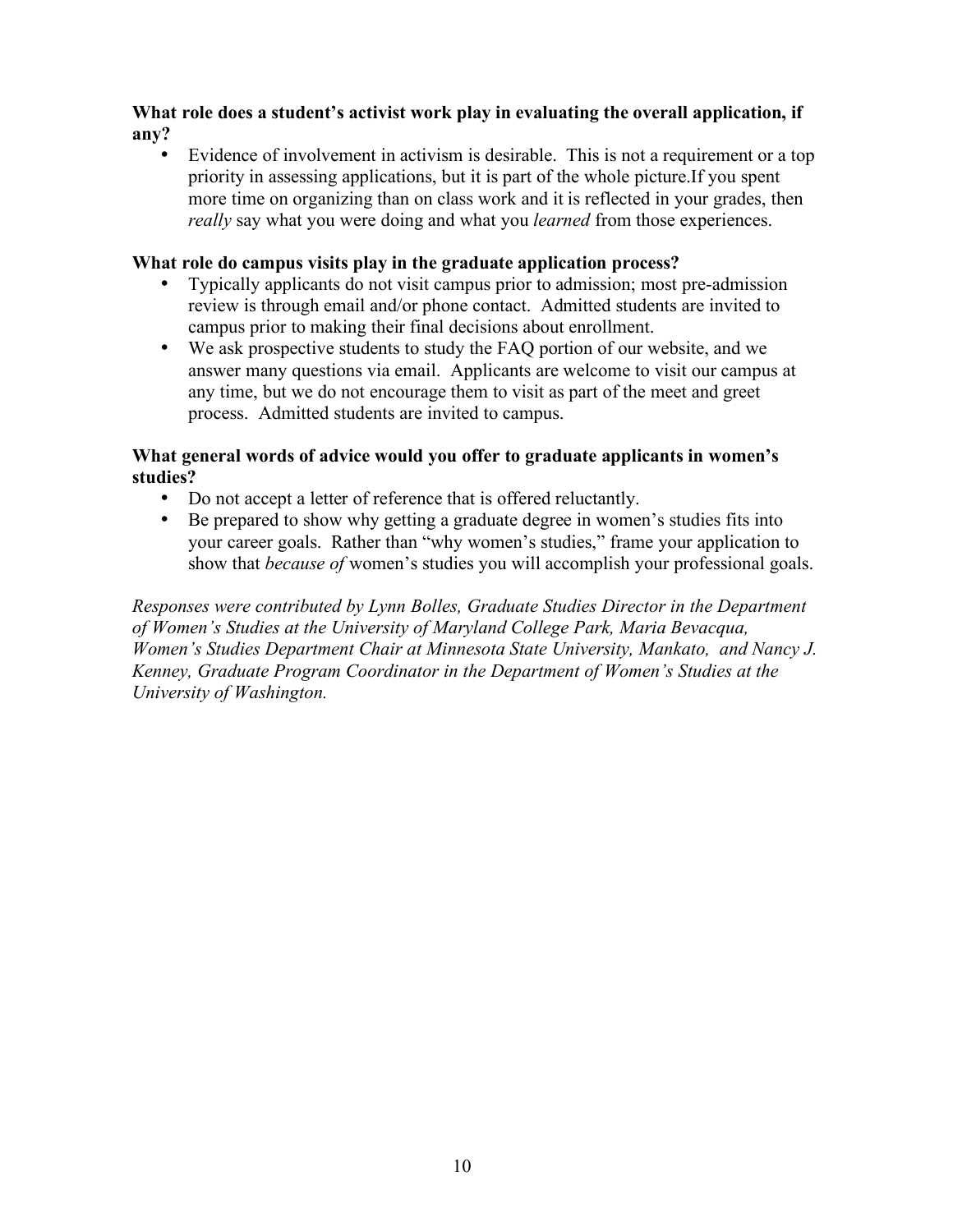# **What role does a student's activist work play in evaluating the overall application, if any?**

Evidence of involvement in activism is desirable. This is not a requirement or a top priority in assessing applications, but it is part of the whole picture.If you spent more time on organizing than on class work and it is reflected in your grades, then *really* say what you were doing and what you *learned* from those experiences.

# **What role do campus visits play in the graduate application process?**

- Typically applicants do not visit campus prior to admission; most pre-admission review is through email and/or phone contact. Admitted students are invited to campus prior to making their final decisions about enrollment.
- We ask prospective students to study the FAQ portion of our website, and we answer many questions via email. Applicants are welcome to visit our campus at any time, but we do not encourage them to visit as part of the meet and greet process. Admitted students are invited to campus.

# **What general words of advice would you offer to graduate applicants in women's studies?**

- Do not accept a letter of reference that is offered reluctantly.
- Be prepared to show why getting a graduate degree in women's studies fits into your career goals. Rather than "why women's studies," frame your application to show that *because of* women's studies you will accomplish your professional goals.

*Responses were contributed by Lynn Bolles, Graduate Studies Director in the Department of Women's Studies at the University of Maryland College Park, Maria Bevacqua, Women's Studies Department Chair at Minnesota State University, Mankato, and Nancy J. Kenney, Graduate Program Coordinator in the Department of Women's Studies at the University of Washington.*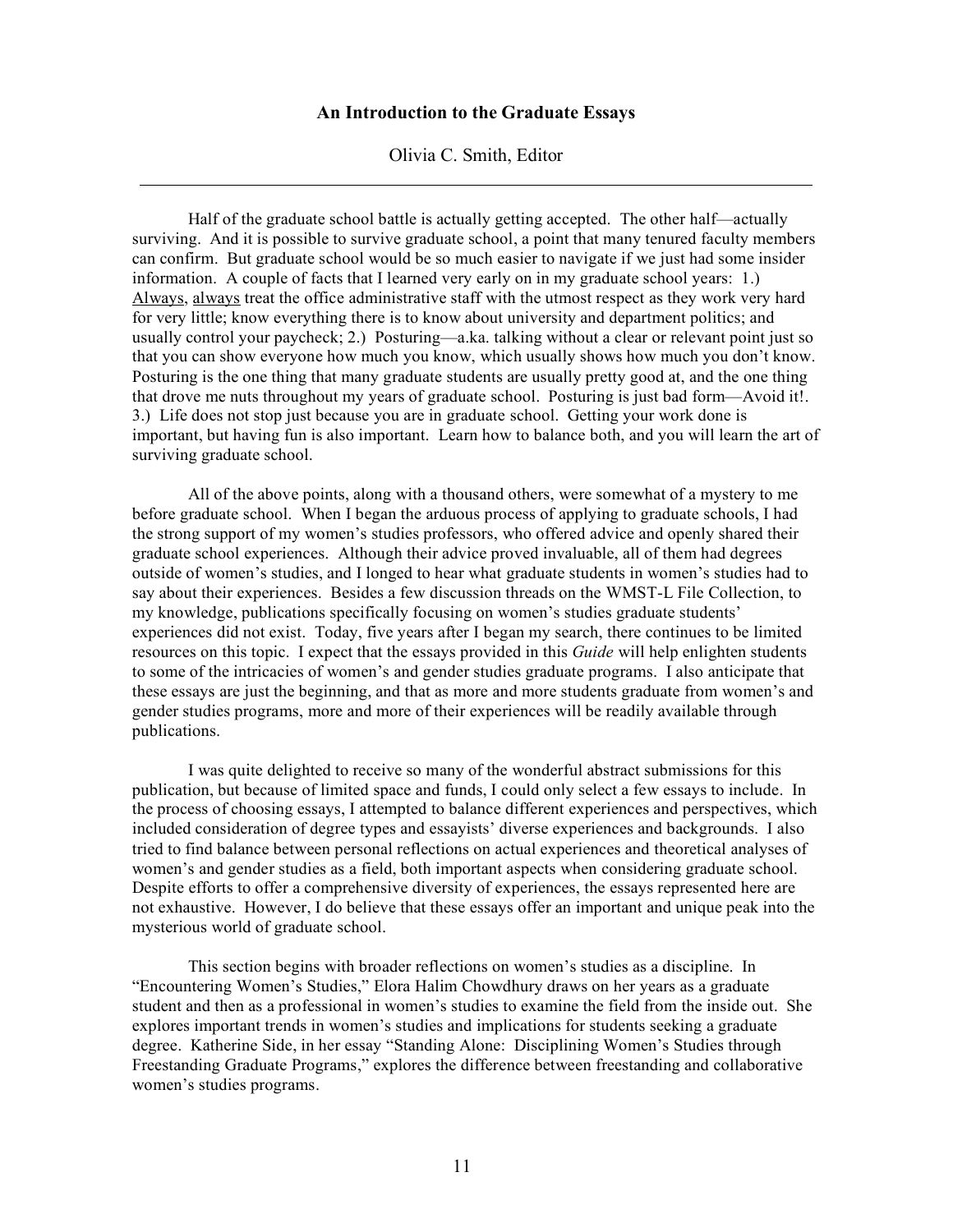### **An Introduction to the Graduate Essays**

#### Olivia C. Smith, Editor

Half of the graduate school battle is actually getting accepted. The other half—actually surviving. And it is possible to survive graduate school, a point that many tenured faculty members can confirm. But graduate school would be so much easier to navigate if we just had some insider information. A couple of facts that I learned very early on in my graduate school years: 1.) Always, always treat the office administrative staff with the utmost respect as they work very hard for very little; know everything there is to know about university and department politics; and usually control your paycheck; 2.) Posturing—a.ka. talking without a clear or relevant point just so that you can show everyone how much you know, which usually shows how much you don't know. Posturing is the one thing that many graduate students are usually pretty good at, and the one thing that drove me nuts throughout my years of graduate school. Posturing is just bad form—Avoid it!. 3.) Life does not stop just because you are in graduate school. Getting your work done is important, but having fun is also important. Learn how to balance both, and you will learn the art of surviving graduate school.

All of the above points, along with a thousand others, were somewhat of a mystery to me before graduate school. When I began the arduous process of applying to graduate schools, I had the strong support of my women's studies professors, who offered advice and openly shared their graduate school experiences. Although their advice proved invaluable, all of them had degrees outside of women's studies, and I longed to hear what graduate students in women's studies had to say about their experiences. Besides a few discussion threads on the WMST-L File Collection, to my knowledge, publications specifically focusing on women's studies graduate students' experiences did not exist. Today, five years after I began my search, there continues to be limited resources on this topic. I expect that the essays provided in this *Guide* will help enlighten students to some of the intricacies of women's and gender studies graduate programs. I also anticipate that these essays are just the beginning, and that as more and more students graduate from women's and gender studies programs, more and more of their experiences will be readily available through publications.

I was quite delighted to receive so many of the wonderful abstract submissions for this publication, but because of limited space and funds, I could only select a few essays to include. In the process of choosing essays, I attempted to balance different experiences and perspectives, which included consideration of degree types and essayists' diverse experiences and backgrounds. I also tried to find balance between personal reflections on actual experiences and theoretical analyses of women's and gender studies as a field, both important aspects when considering graduate school. Despite efforts to offer a comprehensive diversity of experiences, the essays represented here are not exhaustive. However, I do believe that these essays offer an important and unique peak into the mysterious world of graduate school.

This section begins with broader reflections on women's studies as a discipline. In "Encountering Women's Studies," Elora Halim Chowdhury draws on her years as a graduate student and then as a professional in women's studies to examine the field from the inside out. She explores important trends in women's studies and implications for students seeking a graduate degree. Katherine Side, in her essay "Standing Alone: Disciplining Women's Studies through Freestanding Graduate Programs," explores the difference between freestanding and collaborative women's studies programs.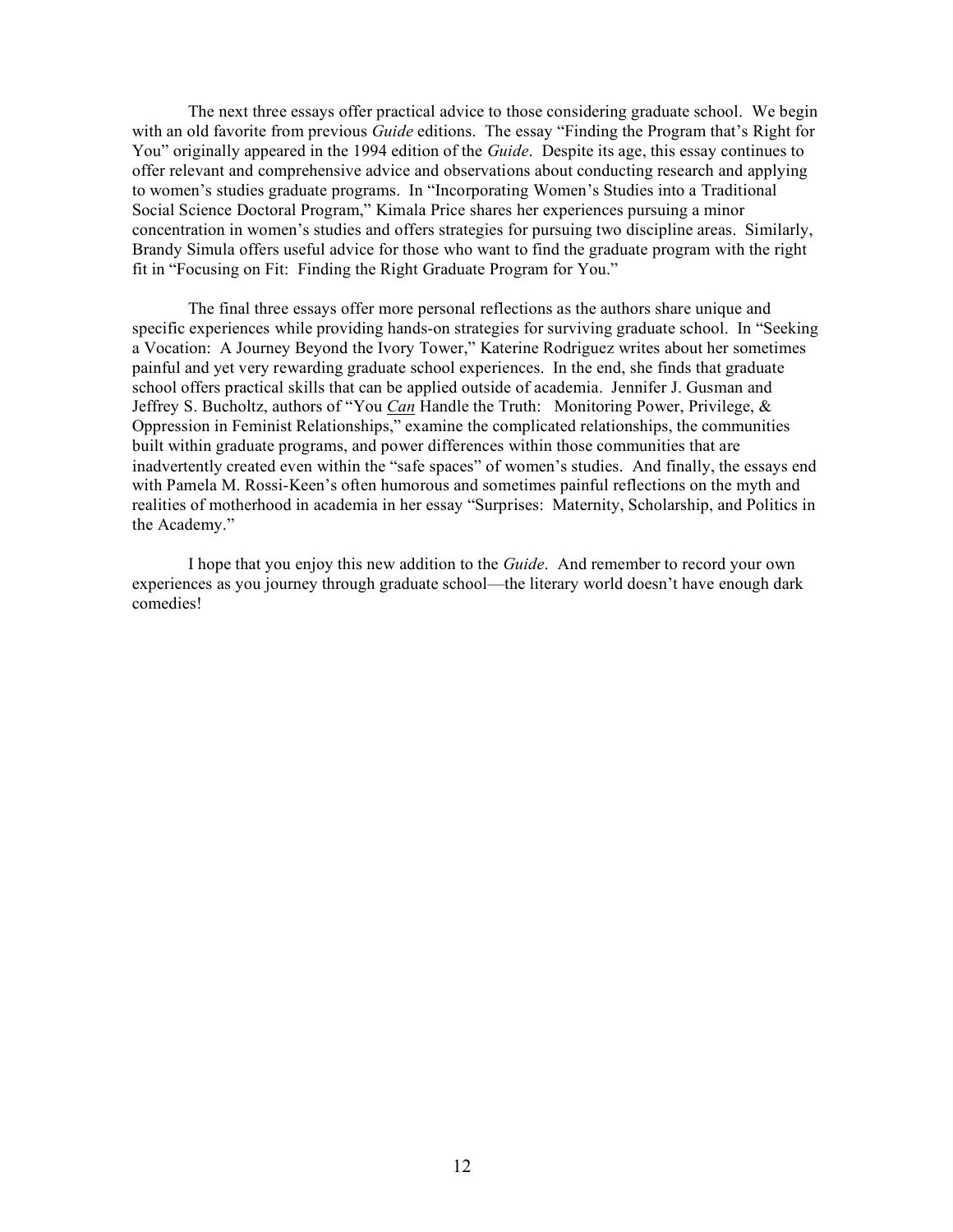The next three essays offer practical advice to those considering graduate school. We begin with an old favorite from previous *Guide* editions. The essay "Finding the Program that's Right for You" originally appeared in the 1994 edition of the *Guide*. Despite its age, this essay continues to offer relevant and comprehensive advice and observations about conducting research and applying to women's studies graduate programs. In "Incorporating Women's Studies into a Traditional Social Science Doctoral Program," Kimala Price shares her experiences pursuing a minor concentration in women's studies and offers strategies for pursuing two discipline areas. Similarly, Brandy Simula offers useful advice for those who want to find the graduate program with the right fit in "Focusing on Fit: Finding the Right Graduate Program for You."

The final three essays offer more personal reflections as the authors share unique and specific experiences while providing hands-on strategies for surviving graduate school. In "Seeking a Vocation: A Journey Beyond the Ivory Tower," Katerine Rodriguez writes about her sometimes painful and yet very rewarding graduate school experiences. In the end, she finds that graduate school offers practical skills that can be applied outside of academia. Jennifer J. Gusman and Jeffrey S. Bucholtz, authors of "You *Can* Handle the Truth: Monitoring Power, Privilege, & Oppression in Feminist Relationships," examine the complicated relationships, the communities built within graduate programs, and power differences within those communities that are inadvertently created even within the "safe spaces" of women's studies. And finally, the essays end with Pamela M. Rossi-Keen's often humorous and sometimes painful reflections on the myth and realities of motherhood in academia in her essay "Surprises: Maternity, Scholarship, and Politics in the Academy."

I hope that you enjoy this new addition to the *Guide*. And remember to record your own experiences as you journey through graduate school—the literary world doesn't have enough dark comedies!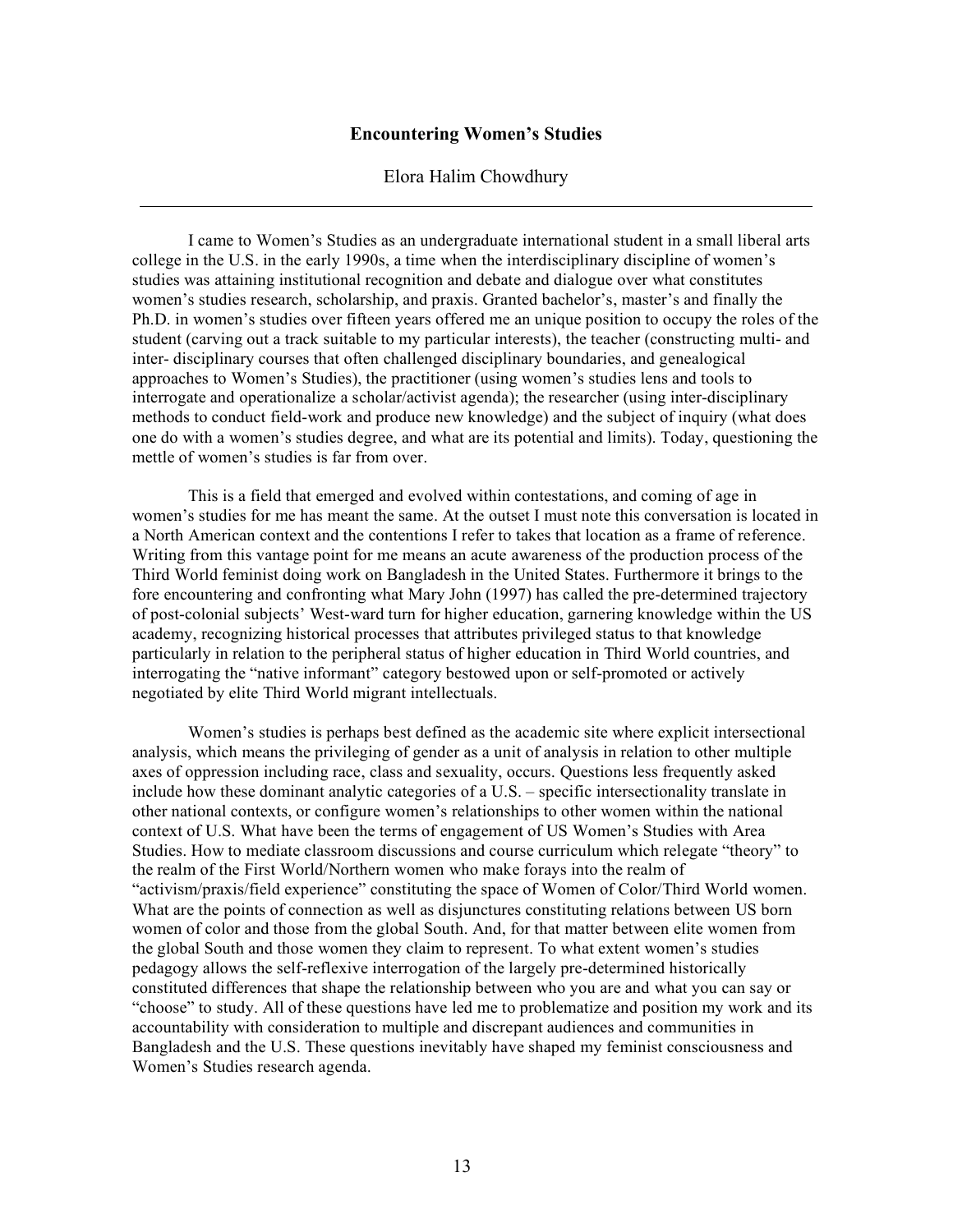#### **Encountering Women's Studies**

#### Elora Halim Chowdhury

I came to Women's Studies as an undergraduate international student in a small liberal arts college in the U.S. in the early 1990s, a time when the interdisciplinary discipline of women's studies was attaining institutional recognition and debate and dialogue over what constitutes women's studies research, scholarship, and praxis. Granted bachelor's, master's and finally the Ph.D. in women's studies over fifteen years offered me an unique position to occupy the roles of the student (carving out a track suitable to my particular interests), the teacher (constructing multi- and inter- disciplinary courses that often challenged disciplinary boundaries, and genealogical approaches to Women's Studies), the practitioner (using women's studies lens and tools to interrogate and operationalize a scholar/activist agenda); the researcher (using inter-disciplinary methods to conduct field-work and produce new knowledge) and the subject of inquiry (what does one do with a women's studies degree, and what are its potential and limits). Today, questioning the mettle of women's studies is far from over.

This is a field that emerged and evolved within contestations, and coming of age in women's studies for me has meant the same. At the outset I must note this conversation is located in a North American context and the contentions I refer to takes that location as a frame of reference. Writing from this vantage point for me means an acute awareness of the production process of the Third World feminist doing work on Bangladesh in the United States. Furthermore it brings to the fore encountering and confronting what Mary John (1997) has called the pre-determined trajectory of post-colonial subjects' West-ward turn for higher education, garnering knowledge within the US academy, recognizing historical processes that attributes privileged status to that knowledge particularly in relation to the peripheral status of higher education in Third World countries, and interrogating the "native informant" category bestowed upon or self-promoted or actively negotiated by elite Third World migrant intellectuals.

Women's studies is perhaps best defined as the academic site where explicit intersectional analysis, which means the privileging of gender as a unit of analysis in relation to other multiple axes of oppression including race, class and sexuality, occurs. Questions less frequently asked include how these dominant analytic categories of a U.S. – specific intersectionality translate in other national contexts, or configure women's relationships to other women within the national context of U.S. What have been the terms of engagement of US Women's Studies with Area Studies. How to mediate classroom discussions and course curriculum which relegate "theory" to the realm of the First World/Northern women who make forays into the realm of "activism/praxis/field experience" constituting the space of Women of Color/Third World women. What are the points of connection as well as disjunctures constituting relations between US born women of color and those from the global South. And, for that matter between elite women from the global South and those women they claim to represent. To what extent women's studies pedagogy allows the self-reflexive interrogation of the largely pre-determined historically constituted differences that shape the relationship between who you are and what you can say or "choose" to study. All of these questions have led me to problematize and position my work and its accountability with consideration to multiple and discrepant audiences and communities in Bangladesh and the U.S. These questions inevitably have shaped my feminist consciousness and Women's Studies research agenda.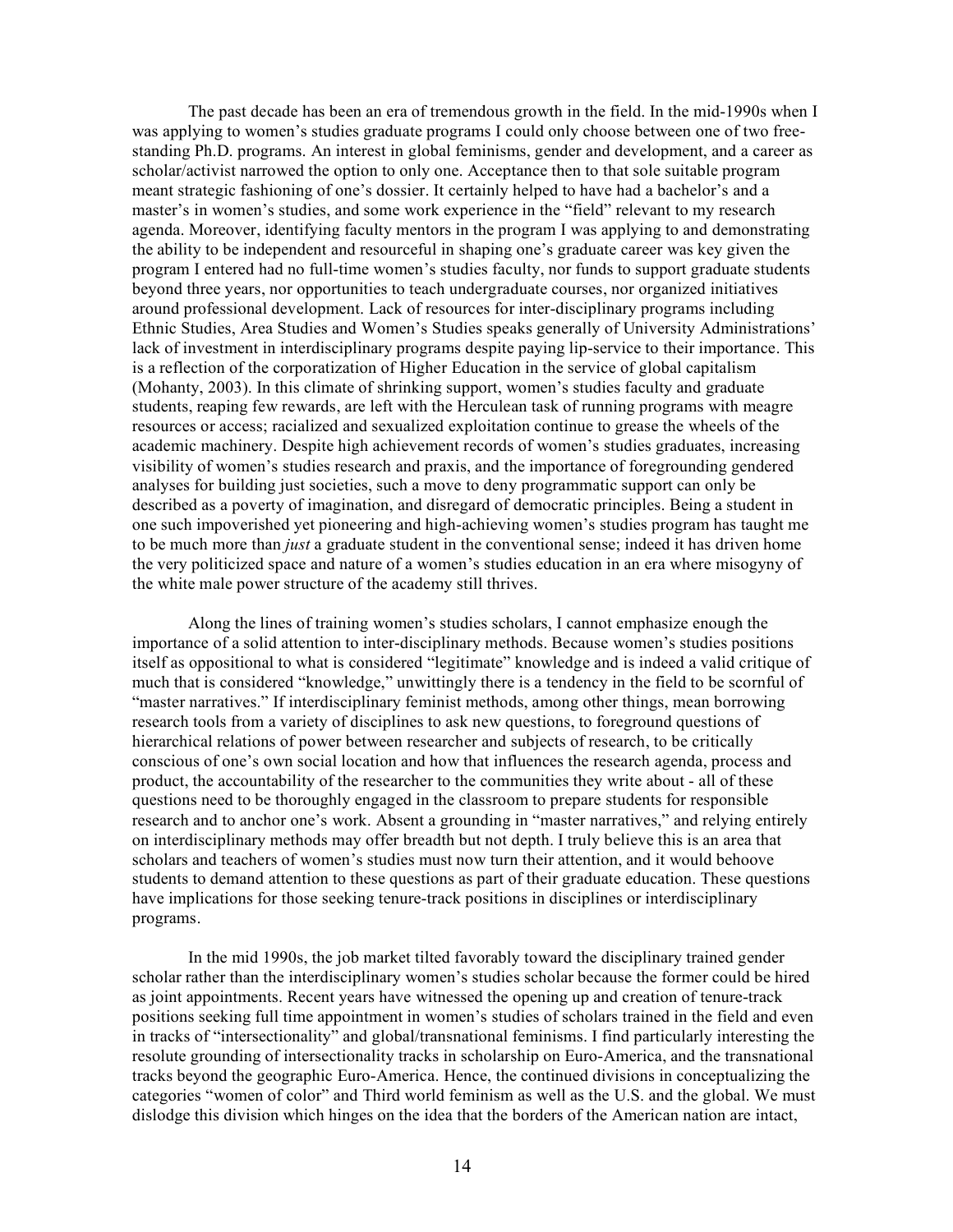The past decade has been an era of tremendous growth in the field. In the mid-1990s when I was applying to women's studies graduate programs I could only choose between one of two freestanding Ph.D. programs. An interest in global feminisms, gender and development, and a career as scholar/activist narrowed the option to only one. Acceptance then to that sole suitable program meant strategic fashioning of one's dossier. It certainly helped to have had a bachelor's and a master's in women's studies, and some work experience in the "field" relevant to my research agenda. Moreover, identifying faculty mentors in the program I was applying to and demonstrating the ability to be independent and resourceful in shaping one's graduate career was key given the program I entered had no full-time women's studies faculty, nor funds to support graduate students beyond three years, nor opportunities to teach undergraduate courses, nor organized initiatives around professional development. Lack of resources for inter-disciplinary programs including Ethnic Studies, Area Studies and Women's Studies speaks generally of University Administrations' lack of investment in interdisciplinary programs despite paying lip-service to their importance. This is a reflection of the corporatization of Higher Education in the service of global capitalism (Mohanty, 2003). In this climate of shrinking support, women's studies faculty and graduate students, reaping few rewards, are left with the Herculean task of running programs with meagre resources or access; racialized and sexualized exploitation continue to grease the wheels of the academic machinery. Despite high achievement records of women's studies graduates, increasing visibility of women's studies research and praxis, and the importance of foregrounding gendered analyses for building just societies, such a move to deny programmatic support can only be described as a poverty of imagination, and disregard of democratic principles. Being a student in one such impoverished yet pioneering and high-achieving women's studies program has taught me to be much more than *just* a graduate student in the conventional sense; indeed it has driven home the very politicized space and nature of a women's studies education in an era where misogyny of the white male power structure of the academy still thrives.

Along the lines of training women's studies scholars, I cannot emphasize enough the importance of a solid attention to inter-disciplinary methods. Because women's studies positions itself as oppositional to what is considered "legitimate" knowledge and is indeed a valid critique of much that is considered "knowledge," unwittingly there is a tendency in the field to be scornful of "master narratives." If interdisciplinary feminist methods, among other things, mean borrowing research tools from a variety of disciplines to ask new questions, to foreground questions of hierarchical relations of power between researcher and subjects of research, to be critically conscious of one's own social location and how that influences the research agenda, process and product, the accountability of the researcher to the communities they write about - all of these questions need to be thoroughly engaged in the classroom to prepare students for responsible research and to anchor one's work. Absent a grounding in "master narratives," and relying entirely on interdisciplinary methods may offer breadth but not depth. I truly believe this is an area that scholars and teachers of women's studies must now turn their attention, and it would behoove students to demand attention to these questions as part of their graduate education. These questions have implications for those seeking tenure-track positions in disciplines or interdisciplinary programs.

In the mid 1990s, the job market tilted favorably toward the disciplinary trained gender scholar rather than the interdisciplinary women's studies scholar because the former could be hired as joint appointments. Recent years have witnessed the opening up and creation of tenure-track positions seeking full time appointment in women's studies of scholars trained in the field and even in tracks of "intersectionality" and global/transnational feminisms. I find particularly interesting the resolute grounding of intersectionality tracks in scholarship on Euro-America, and the transnational tracks beyond the geographic Euro-America. Hence, the continued divisions in conceptualizing the categories "women of color" and Third world feminism as well as the U.S. and the global. We must dislodge this division which hinges on the idea that the borders of the American nation are intact,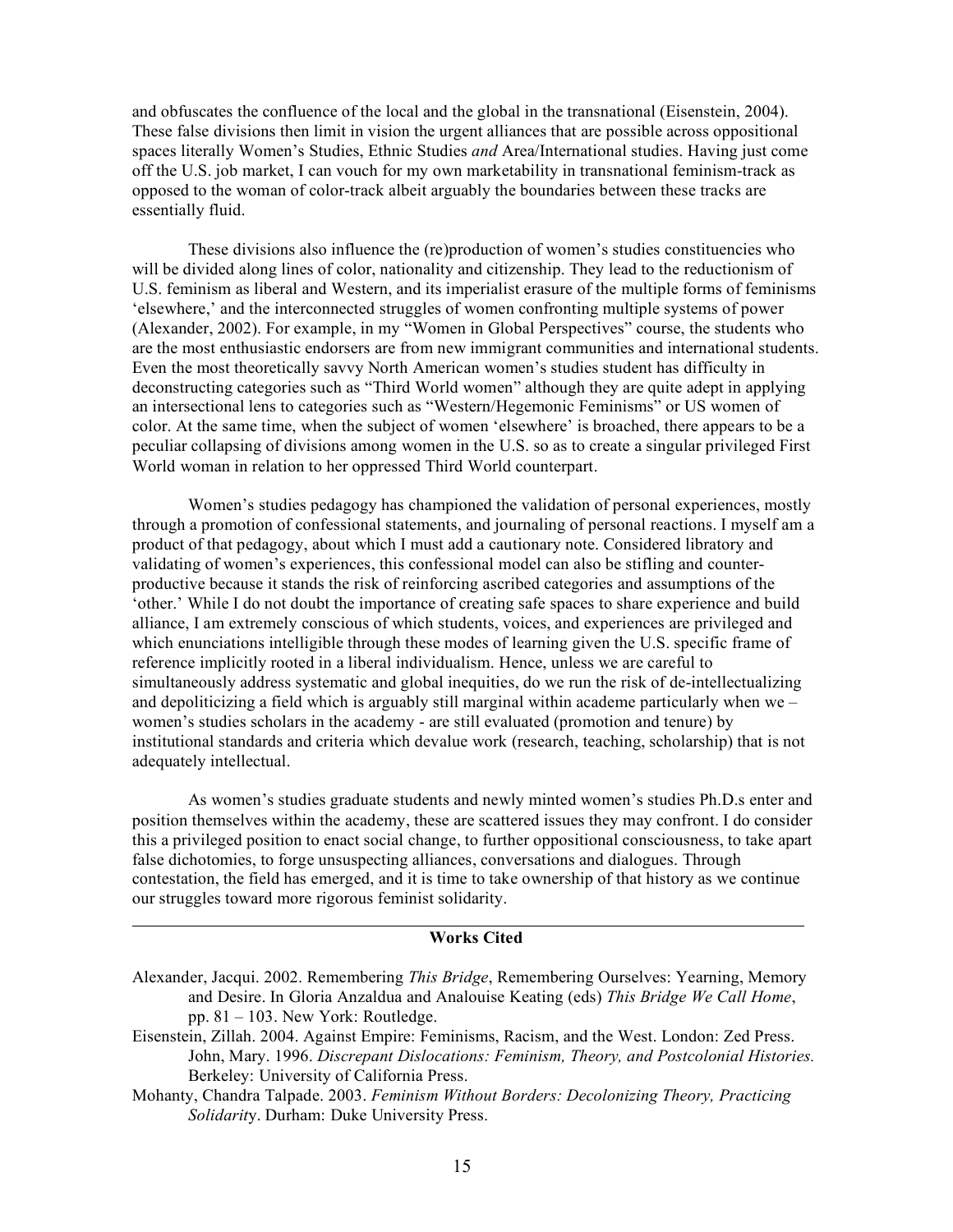and obfuscates the confluence of the local and the global in the transnational (Eisenstein, 2004). These false divisions then limit in vision the urgent alliances that are possible across oppositional spaces literally Women's Studies, Ethnic Studies *and* Area/International studies. Having just come off the U.S. job market, I can vouch for my own marketability in transnational feminism-track as opposed to the woman of color-track albeit arguably the boundaries between these tracks are essentially fluid.

These divisions also influence the (re)production of women's studies constituencies who will be divided along lines of color, nationality and citizenship. They lead to the reductionism of U.S. feminism as liberal and Western, and its imperialist erasure of the multiple forms of feminisms 'elsewhere,' and the interconnected struggles of women confronting multiple systems of power (Alexander, 2002). For example, in my "Women in Global Perspectives" course, the students who are the most enthusiastic endorsers are from new immigrant communities and international students. Even the most theoretically savvy North American women's studies student has difficulty in deconstructing categories such as "Third World women" although they are quite adept in applying an intersectional lens to categories such as "Western/Hegemonic Feminisms" or US women of color. At the same time, when the subject of women 'elsewhere' is broached, there appears to be a peculiar collapsing of divisions among women in the U.S. so as to create a singular privileged First World woman in relation to her oppressed Third World counterpart.

Women's studies pedagogy has championed the validation of personal experiences, mostly through a promotion of confessional statements, and journaling of personal reactions. I myself am a product of that pedagogy, about which I must add a cautionary note. Considered libratory and validating of women's experiences, this confessional model can also be stifling and counterproductive because it stands the risk of reinforcing ascribed categories and assumptions of the 'other.' While I do not doubt the importance of creating safe spaces to share experience and build alliance, I am extremely conscious of which students, voices, and experiences are privileged and which enunciations intelligible through these modes of learning given the U.S. specific frame of reference implicitly rooted in a liberal individualism. Hence, unless we are careful to simultaneously address systematic and global inequities, do we run the risk of de-intellectualizing and depoliticizing a field which is arguably still marginal within academe particularly when we – women's studies scholars in the academy - are still evaluated (promotion and tenure) by institutional standards and criteria which devalue work (research, teaching, scholarship) that is not adequately intellectual.

As women's studies graduate students and newly minted women's studies Ph.D.s enter and position themselves within the academy, these are scattered issues they may confront. I do consider this a privileged position to enact social change, to further oppositional consciousness, to take apart false dichotomies, to forge unsuspecting alliances, conversations and dialogues. Through contestation, the field has emerged, and it is time to take ownership of that history as we continue our struggles toward more rigorous feminist solidarity.

#### **Works Cited**

- Alexander, Jacqui. 2002. Remembering *This Bridge*, Remembering Ourselves: Yearning, Memory and Desire. In Gloria Anzaldua and Analouise Keating (eds) *This Bridge We Call Home*, pp. 81 – 103. New York: Routledge.
- Eisenstein, Zillah. 2004. Against Empire: Feminisms, Racism, and the West. London: Zed Press. John, Mary. 1996. *Discrepant Dislocations: Feminism, Theory, and Postcolonial Histories.* Berkeley: University of California Press.
- Mohanty, Chandra Talpade. 2003. *Feminism Without Borders: Decolonizing Theory, Practicing Solidarit*y. Durham: Duke University Press.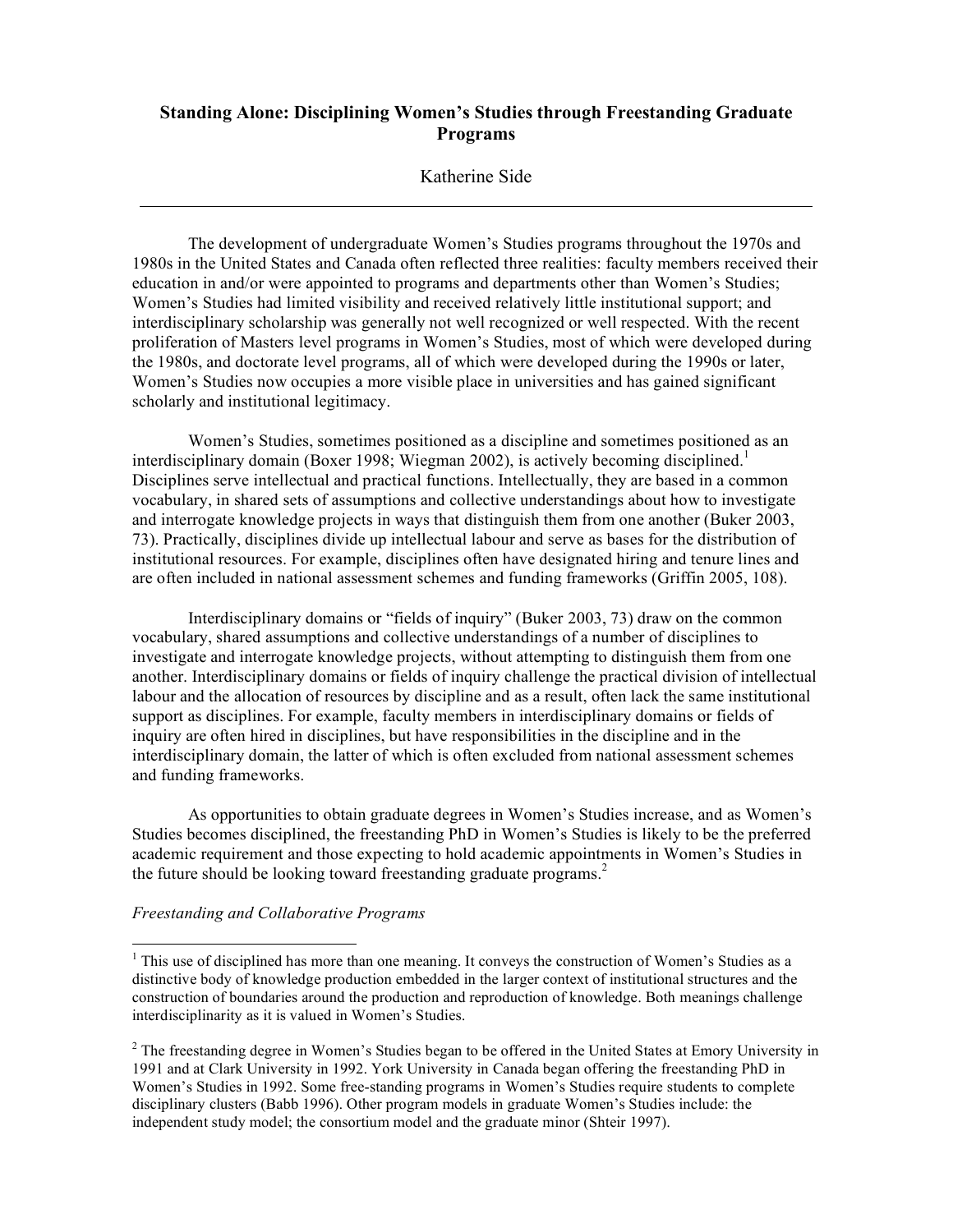# **Standing Alone: Disciplining Women's Studies through Freestanding Graduate Programs**

### Katherine Side

The development of undergraduate Women's Studies programs throughout the 1970s and 1980s in the United States and Canada often reflected three realities: faculty members received their education in and/or were appointed to programs and departments other than Women's Studies; Women's Studies had limited visibility and received relatively little institutional support; and interdisciplinary scholarship was generally not well recognized or well respected. With the recent proliferation of Masters level programs in Women's Studies, most of which were developed during the 1980s, and doctorate level programs, all of which were developed during the 1990s or later, Women's Studies now occupies a more visible place in universities and has gained significant scholarly and institutional legitimacy.

Women's Studies, sometimes positioned as a discipline and sometimes positioned as an interdisciplinary domain (Boxer 1998; Wiegman 2002), is actively becoming disciplined. 1 Disciplines serve intellectual and practical functions. Intellectually, they are based in a common vocabulary, in shared sets of assumptions and collective understandings about how to investigate and interrogate knowledge projects in ways that distinguish them from one another (Buker 2003, 73). Practically, disciplines divide up intellectual labour and serve as bases for the distribution of institutional resources. For example, disciplines often have designated hiring and tenure lines and are often included in national assessment schemes and funding frameworks (Griffin 2005, 108).

Interdisciplinary domains or "fields of inquiry" (Buker 2003, 73) draw on the common vocabulary, shared assumptions and collective understandings of a number of disciplines to investigate and interrogate knowledge projects, without attempting to distinguish them from one another. Interdisciplinary domains or fields of inquiry challenge the practical division of intellectual labour and the allocation of resources by discipline and as a result, often lack the same institutional support as disciplines. For example, faculty members in interdisciplinary domains or fields of inquiry are often hired in disciplines, but have responsibilities in the discipline and in the interdisciplinary domain, the latter of which is often excluded from national assessment schemes and funding frameworks.

As opportunities to obtain graduate degrees in Women's Studies increase, and as Women's Studies becomes disciplined, the freestanding PhD in Women's Studies is likely to be the preferred academic requirement and those expecting to hold academic appointments in Women's Studies in the future should be looking toward freestanding graduate programs. 2

#### *Freestanding and Collaborative Programs*

<sup>&</sup>lt;sup>1</sup> This use of disciplined has more than one meaning. It conveys the construction of Women's Studies as a distinctive body of knowledge production embedded in the larger context of institutional structures and the construction of boundaries around the production and reproduction of knowledge. Both meanings challenge interdisciplinarity as it is valued in Women's Studies.

<sup>&</sup>lt;sup>2</sup> The freestanding degree in Women's Studies began to be offered in the United States at Emory University in 1991 and at Clark University in 1992. York University in Canada began offering the freestanding PhD in Women's Studies in 1992. Some free-standing programs in Women's Studies require students to complete disciplinary clusters (Babb 1996). Other program models in graduate Women's Studies include: the independent study model; the consortium model and the graduate minor (Shteir 1997).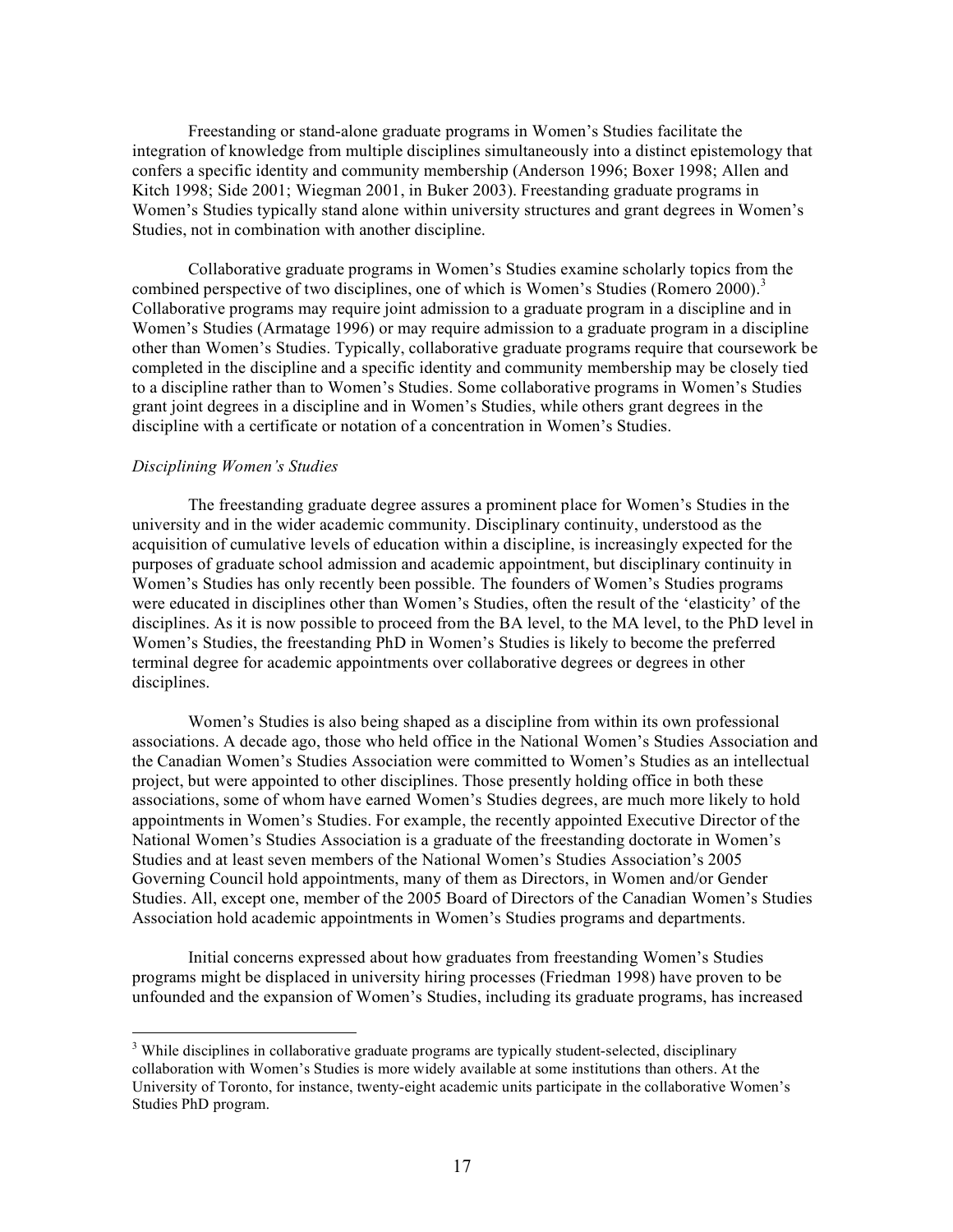Freestanding or stand-alone graduate programs in Women's Studies facilitate the integration of knowledge from multiple disciplines simultaneously into a distinct epistemology that confers a specific identity and community membership (Anderson 1996; Boxer 1998; Allen and Kitch 1998; Side 2001; Wiegman 2001, in Buker 2003). Freestanding graduate programs in Women's Studies typically stand alone within university structures and grant degrees in Women's Studies, not in combination with another discipline.

Collaborative graduate programs in Women's Studies examine scholarly topics from the combined perspective of two disciplines, one of which is Women's Studies (Romero 2000). 3 Collaborative programs may require joint admission to a graduate program in a discipline and in Women's Studies (Armatage 1996) or may require admission to a graduate program in a discipline other than Women's Studies. Typically, collaborative graduate programs require that coursework be completed in the discipline and a specific identity and community membership may be closely tied to a discipline rather than to Women's Studies. Some collaborative programs in Women's Studies grant joint degrees in a discipline and in Women's Studies, while others grant degrees in the discipline with a certificate or notation of a concentration in Women's Studies.

#### *Disciplining Women's Studies*

The freestanding graduate degree assures a prominent place for Women's Studies in the university and in the wider academic community. Disciplinary continuity, understood as the acquisition of cumulative levels of education within a discipline, is increasingly expected for the purposes of graduate school admission and academic appointment, but disciplinary continuity in Women's Studies has only recently been possible. The founders of Women's Studies programs were educated in disciplines other than Women's Studies, often the result of the 'elasticity' of the disciplines. As it is now possible to proceed from the BA level, to the MA level, to the PhD level in Women's Studies, the freestanding PhD in Women's Studies is likely to become the preferred terminal degree for academic appointments over collaborative degrees or degrees in other disciplines.

Women's Studies is also being shaped as a discipline from within its own professional associations. A decade ago, those who held office in the National Women's Studies Association and the Canadian Women's Studies Association were committed to Women's Studies as an intellectual project, but were appointed to other disciplines. Those presently holding office in both these associations, some of whom have earned Women's Studies degrees, are much more likely to hold appointments in Women's Studies. For example, the recently appointed Executive Director of the National Women's Studies Association is a graduate of the freestanding doctorate in Women's Studies and at least seven members of the National Women's Studies Association's 2005 Governing Council hold appointments, many of them as Directors, in Women and/or Gender Studies. All, except one, member of the 2005 Board of Directors of the Canadian Women's Studies Association hold academic appointments in Women's Studies programs and departments.

Initial concerns expressed about how graduates from freestanding Women's Studies programs might be displaced in university hiring processes (Friedman 1998) have proven to be unfounded and the expansion of Women's Studies, including its graduate programs, has increased

<sup>&</sup>lt;sup>3</sup> While disciplines in collaborative graduate programs are typically student-selected, disciplinary collaboration with Women's Studies is more widely available at some institutions than others. At the University of Toronto, for instance, twenty-eight academic units participate in the collaborative Women's Studies PhD program.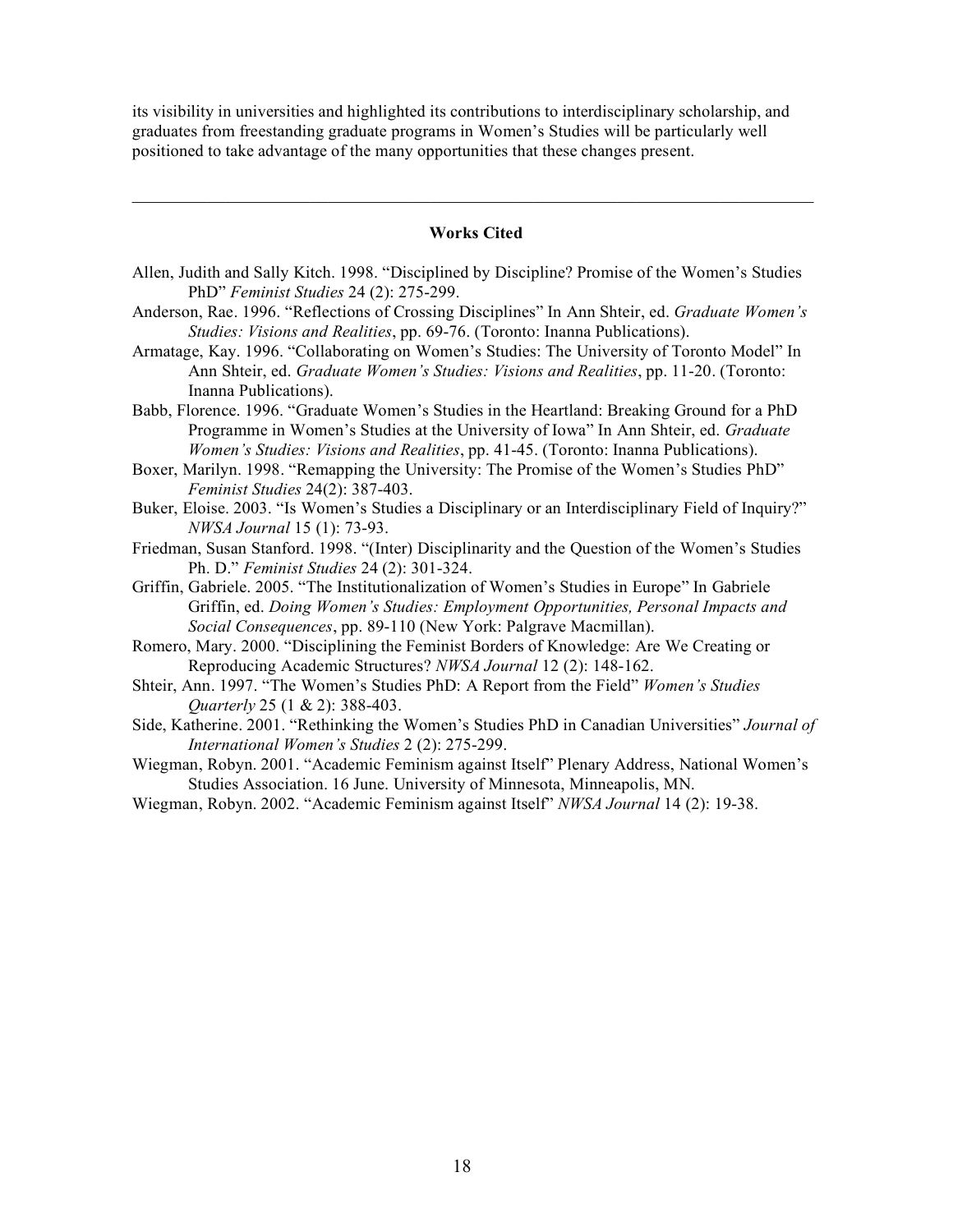its visibility in universities and highlighted its contributions to interdisciplinary scholarship, and graduates from freestanding graduate programs in Women's Studies will be particularly well positioned to take advantage of the many opportunities that these changes present.

#### **Works Cited**

 $\mathcal{L}_\mathcal{L} = \{ \mathcal{L}_\mathcal{L} = \{ \mathcal{L}_\mathcal{L} = \{ \mathcal{L}_\mathcal{L} = \{ \mathcal{L}_\mathcal{L} = \{ \mathcal{L}_\mathcal{L} = \{ \mathcal{L}_\mathcal{L} = \{ \mathcal{L}_\mathcal{L} = \{ \mathcal{L}_\mathcal{L} = \{ \mathcal{L}_\mathcal{L} = \{ \mathcal{L}_\mathcal{L} = \{ \mathcal{L}_\mathcal{L} = \{ \mathcal{L}_\mathcal{L} = \{ \mathcal{L}_\mathcal{L} = \{ \mathcal{L}_\mathcal{$ 

- Allen, Judith and Sally Kitch. 1998. "Disciplined by Discipline? Promise of the Women's Studies PhD" *Feminist Studies* 24 (2): 275-299.
- Anderson, Rae. 1996. "Reflections of Crossing Disciplines" In Ann Shteir, ed. *Graduate Women's Studies: Visions and Realities*, pp. 69-76. (Toronto: Inanna Publications).
- Armatage, Kay. 1996. "Collaborating on Women's Studies: The University of Toronto Model" In Ann Shteir, ed. *Graduate Women's Studies: Visions and Realities*, pp. 11-20. (Toronto: Inanna Publications).
- Babb, Florence. 1996. "Graduate Women's Studies in the Heartland: Breaking Ground for a PhD Programme in Women's Studies at the University of Iowa" In Ann Shteir, ed. *Graduate Women's Studies: Visions and Realities*, pp. 41-45. (Toronto: Inanna Publications).
- Boxer, Marilyn. 1998. "Remapping the University: The Promise of the Women's Studies PhD" *Feminist Studies* 24(2): 387-403.
- Buker, Eloise. 2003. "Is Women's Studies a Disciplinary or an Interdisciplinary Field of Inquiry?" *NWSA Journal* 15 (1): 73-93.
- Friedman, Susan Stanford. 1998. "(Inter) Disciplinarity and the Question of the Women's Studies Ph. D." *Feminist Studies* 24 (2): 301-324.
- Griffin, Gabriele. 2005. "The Institutionalization of Women's Studies in Europe" In Gabriele Griffin, ed. *Doing Women's Studies: Employment Opportunities, Personal Impacts and Social Consequences*, pp. 89-110 (New York: Palgrave Macmillan).
- Romero, Mary. 2000. "Disciplining the Feminist Borders of Knowledge: Are We Creating or Reproducing Academic Structures? *NWSA Journal* 12 (2): 148-162.
- Shteir, Ann. 1997. "The Women's Studies PhD: A Report from the Field" *Women's Studies Quarterly* 25 (1 & 2): 388-403.
- Side, Katherine. 2001. "Rethinking the Women's Studies PhD in Canadian Universities" *Journal of International Women's Studies* 2 (2): 275-299.
- Wiegman, Robyn. 2001. "Academic Feminism against Itself" Plenary Address, National Women's Studies Association. 16 June. University of Minnesota, Minneapolis, MN.
- Wiegman, Robyn. 2002. "Academic Feminism against Itself" *NWSA Journal* 14 (2): 19-38.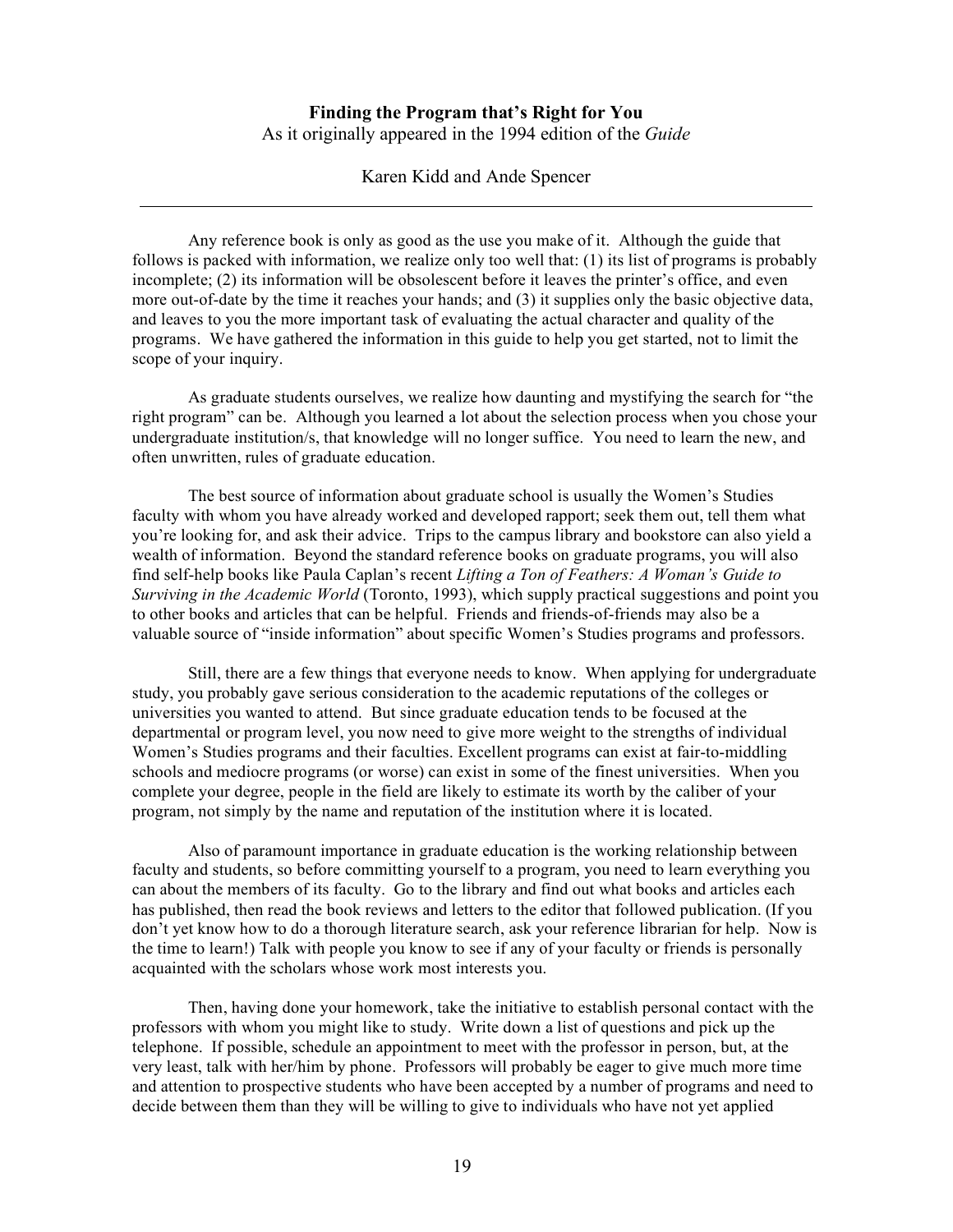# **Finding the Program that's Right for You** As it originally appeared in the 1994 edition of the *Guide*

Karen Kidd and Ande Spencer

Any reference book is only as good as the use you make of it. Although the guide that follows is packed with information, we realize only too well that: (1) its list of programs is probably incomplete; (2) its information will be obsolescent before it leaves the printer's office, and even more out-of-date by the time it reaches your hands; and (3) it supplies only the basic objective data, and leaves to you the more important task of evaluating the actual character and quality of the programs. We have gathered the information in this guide to help you get started, not to limit the scope of your inquiry.

As graduate students ourselves, we realize how daunting and mystifying the search for "the right program" can be. Although you learned a lot about the selection process when you chose your undergraduate institution/s, that knowledge will no longer suffice. You need to learn the new, and often unwritten, rules of graduate education.

The best source of information about graduate school is usually the Women's Studies faculty with whom you have already worked and developed rapport; seek them out, tell them what you're looking for, and ask their advice. Trips to the campus library and bookstore can also yield a wealth of information. Beyond the standard reference books on graduate programs, you will also find self-help books like Paula Caplan's recent *Lifting a Ton of Feathers: A Woman's Guide to Surviving in the Academic World* (Toronto, 1993), which supply practical suggestions and point you to other books and articles that can be helpful. Friends and friends-of-friends may also be a valuable source of "inside information" about specific Women's Studies programs and professors.

Still, there are a few things that everyone needs to know. When applying for undergraduate study, you probably gave serious consideration to the academic reputations of the colleges or universities you wanted to attend. But since graduate education tends to be focused at the departmental or program level, you now need to give more weight to the strengths of individual Women's Studies programs and their faculties. Excellent programs can exist at fair-to-middling schools and mediocre programs (or worse) can exist in some of the finest universities. When you complete your degree, people in the field are likely to estimate its worth by the caliber of your program, not simply by the name and reputation of the institution where it is located.

Also of paramount importance in graduate education is the working relationship between faculty and students, so before committing yourself to a program, you need to learn everything you can about the members of its faculty. Go to the library and find out what books and articles each has published, then read the book reviews and letters to the editor that followed publication. (If you don't yet know how to do a thorough literature search, ask your reference librarian for help. Now is the time to learn!) Talk with people you know to see if any of your faculty or friends is personally acquainted with the scholars whose work most interests you.

Then, having done your homework, take the initiative to establish personal contact with the professors with whom you might like to study. Write down a list of questions and pick up the telephone. If possible, schedule an appointment to meet with the professor in person, but, at the very least, talk with her/him by phone. Professors will probably be eager to give much more time and attention to prospective students who have been accepted by a number of programs and need to decide between them than they will be willing to give to individuals who have not yet applied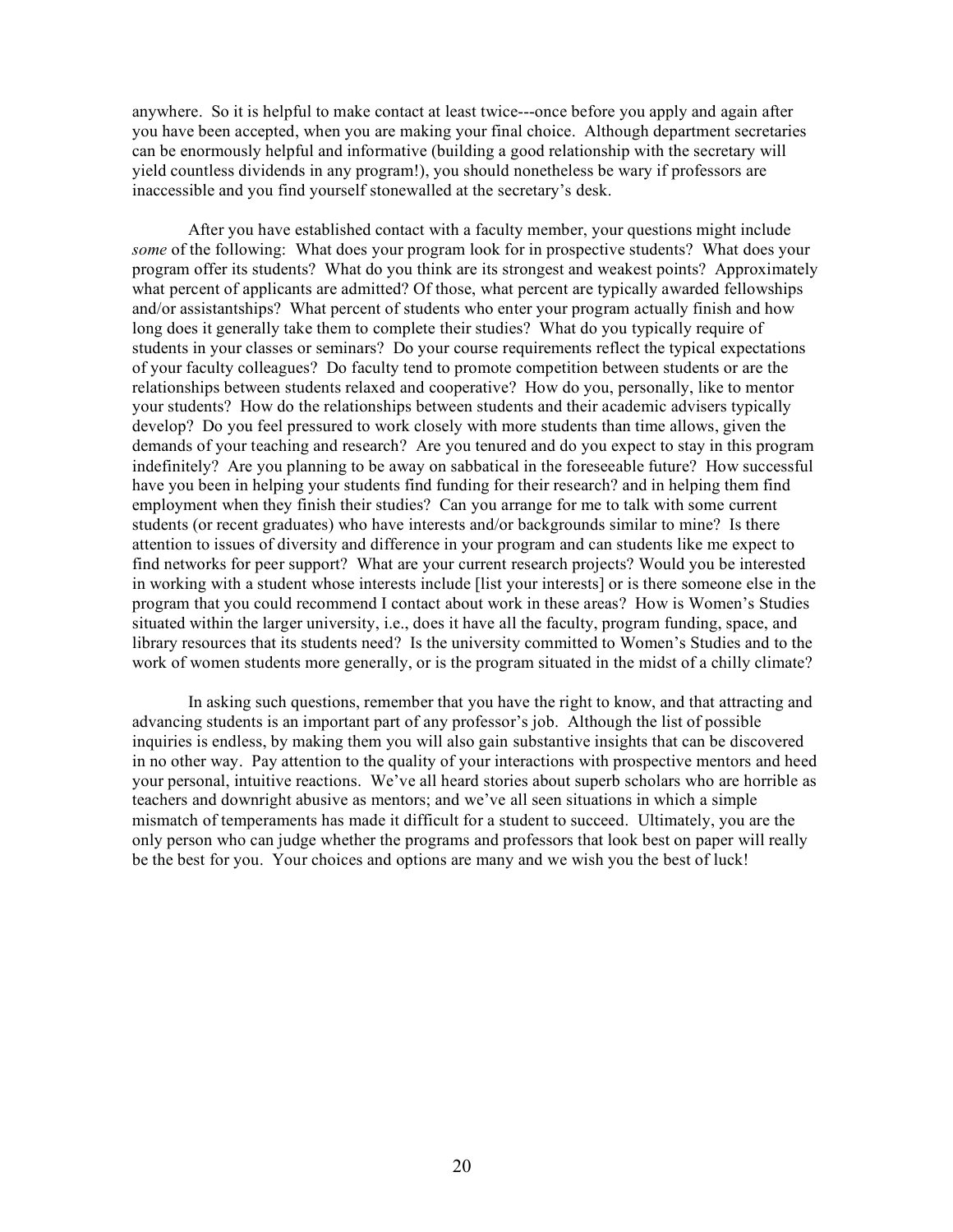anywhere. So it is helpful to make contact at least twice---once before you apply and again after you have been accepted, when you are making your final choice. Although department secretaries can be enormously helpful and informative (building a good relationship with the secretary will yield countless dividends in any program!), you should nonetheless be wary if professors are inaccessible and you find yourself stonewalled at the secretary's desk.

After you have established contact with a faculty member, your questions might include *some* of the following: What does your program look for in prospective students? What does your program offer its students? What do you think are its strongest and weakest points? Approximately what percent of applicants are admitted? Of those, what percent are typically awarded fellowships and/or assistantships? What percent of students who enter your program actually finish and how long does it generally take them to complete their studies? What do you typically require of students in your classes or seminars? Do your course requirements reflect the typical expectations of your faculty colleagues? Do faculty tend to promote competition between students or are the relationships between students relaxed and cooperative? How do you, personally, like to mentor your students? How do the relationships between students and their academic advisers typically develop? Do you feel pressured to work closely with more students than time allows, given the demands of your teaching and research? Are you tenured and do you expect to stay in this program indefinitely? Are you planning to be away on sabbatical in the foreseeable future? How successful have you been in helping your students find funding for their research? and in helping them find employment when they finish their studies? Can you arrange for me to talk with some current students (or recent graduates) who have interests and/or backgrounds similar to mine? Is there attention to issues of diversity and difference in your program and can students like me expect to find networks for peer support? What are your current research projects? Would you be interested in working with a student whose interests include [list your interests] or is there someone else in the program that you could recommend I contact about work in these areas? How is Women's Studies situated within the larger university, i.e., does it have all the faculty, program funding, space, and library resources that its students need? Is the university committed to Women's Studies and to the work of women students more generally, or is the program situated in the midst of a chilly climate?

In asking such questions, remember that you have the right to know, and that attracting and advancing students is an important part of any professor's job. Although the list of possible inquiries is endless, by making them you will also gain substantive insights that can be discovered in no other way. Pay attention to the quality of your interactions with prospective mentors and heed your personal, intuitive reactions. We've all heard stories about superb scholars who are horrible as teachers and downright abusive as mentors; and we've all seen situations in which a simple mismatch of temperaments has made it difficult for a student to succeed. Ultimately, you are the only person who can judge whether the programs and professors that look best on paper will really be the best for you. Your choices and options are many and we wish you the best of luck!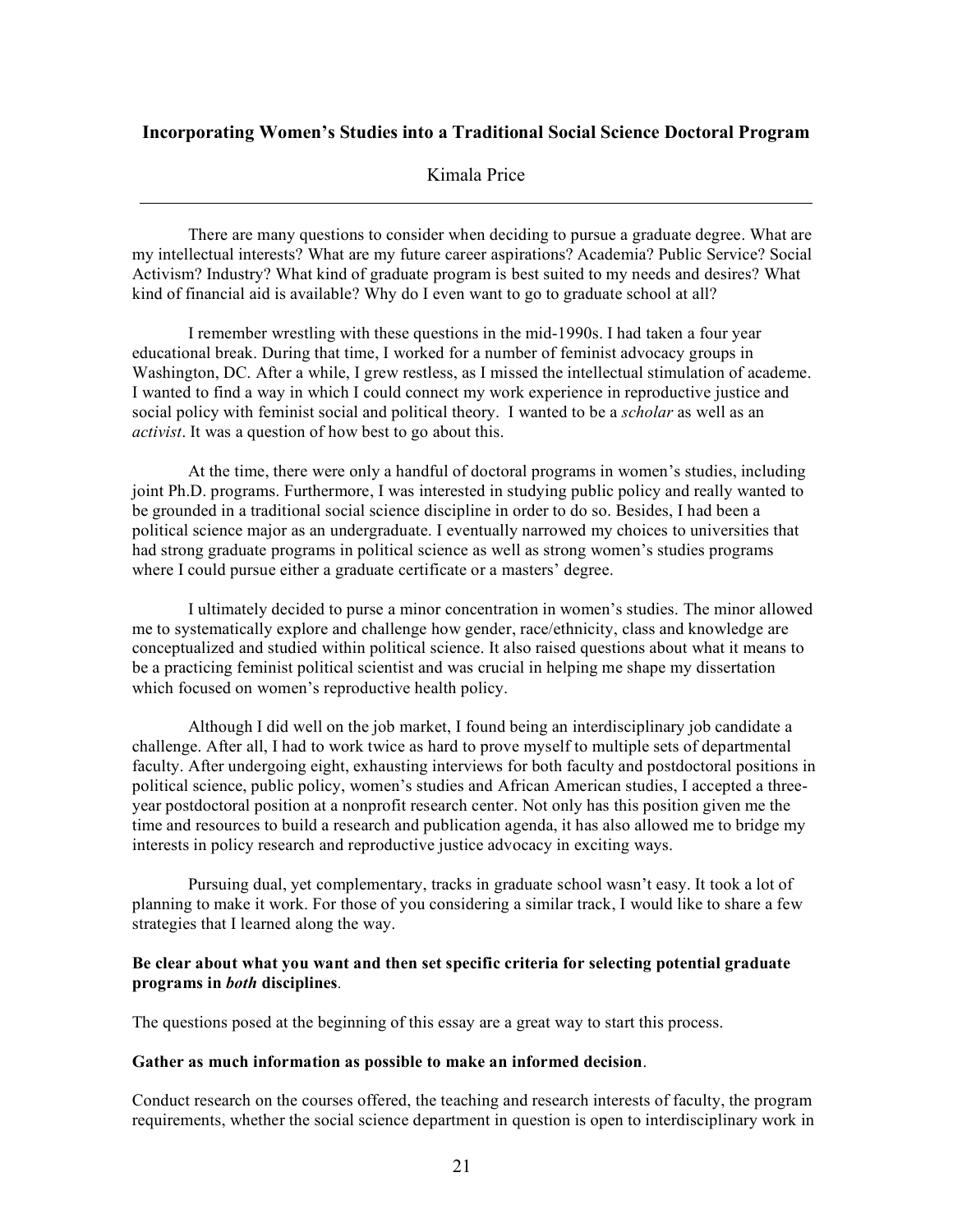# **Incorporating Women's Studies into a Traditional Social Science Doctoral Program**

# Kimala Price

There are many questions to consider when deciding to pursue a graduate degree. What are my intellectual interests? What are my future career aspirations? Academia? Public Service? Social Activism? Industry? What kind of graduate program is best suited to my needs and desires? What kind of financial aid is available? Why do I even want to go to graduate school at all?

I remember wrestling with these questions in the mid-1990s. I had taken a four year educational break. During that time, I worked for a number of feminist advocacy groups in Washington, DC. After a while, I grew restless, as I missed the intellectual stimulation of academe. I wanted to find a way in which I could connect my work experience in reproductive justice and social policy with feminist social and political theory. I wanted to be a *scholar* as well as an *activist*. It was a question of how best to go about this.

At the time, there were only a handful of doctoral programs in women's studies, including joint Ph.D. programs. Furthermore, I was interested in studying public policy and really wanted to be grounded in a traditional social science discipline in order to do so. Besides, I had been a political science major as an undergraduate. I eventually narrowed my choices to universities that had strong graduate programs in political science as well as strong women's studies programs where I could pursue either a graduate certificate or a masters' degree.

I ultimately decided to purse a minor concentration in women's studies. The minor allowed me to systematically explore and challenge how gender, race/ethnicity, class and knowledge are conceptualized and studied within political science. It also raised questions about what it means to be a practicing feminist political scientist and was crucial in helping me shape my dissertation which focused on women's reproductive health policy.

Although I did well on the job market, I found being an interdisciplinary job candidate a challenge. After all, I had to work twice as hard to prove myself to multiple sets of departmental faculty. After undergoing eight, exhausting interviews for both faculty and postdoctoral positions in political science, public policy, women's studies and African American studies, I accepted a threeyear postdoctoral position at a nonprofit research center. Not only has this position given me the time and resources to build a research and publication agenda, it has also allowed me to bridge my interests in policy research and reproductive justice advocacy in exciting ways.

Pursuing dual, yet complementary, tracks in graduate school wasn't easy. It took a lot of planning to make it work. For those of you considering a similar track, I would like to share a few strategies that I learned along the way.

### **Be clear about what you want and then set specific criteria for selecting potential graduate programs in** *both* **disciplines***.*

The questions posed at the beginning of this essay are a great way to start this process.

### **Gather as much information as possible to make an informed decision**.

Conduct research on the courses offered, the teaching and research interests of faculty, the program requirements, whether the social science department in question is open to interdisciplinary work in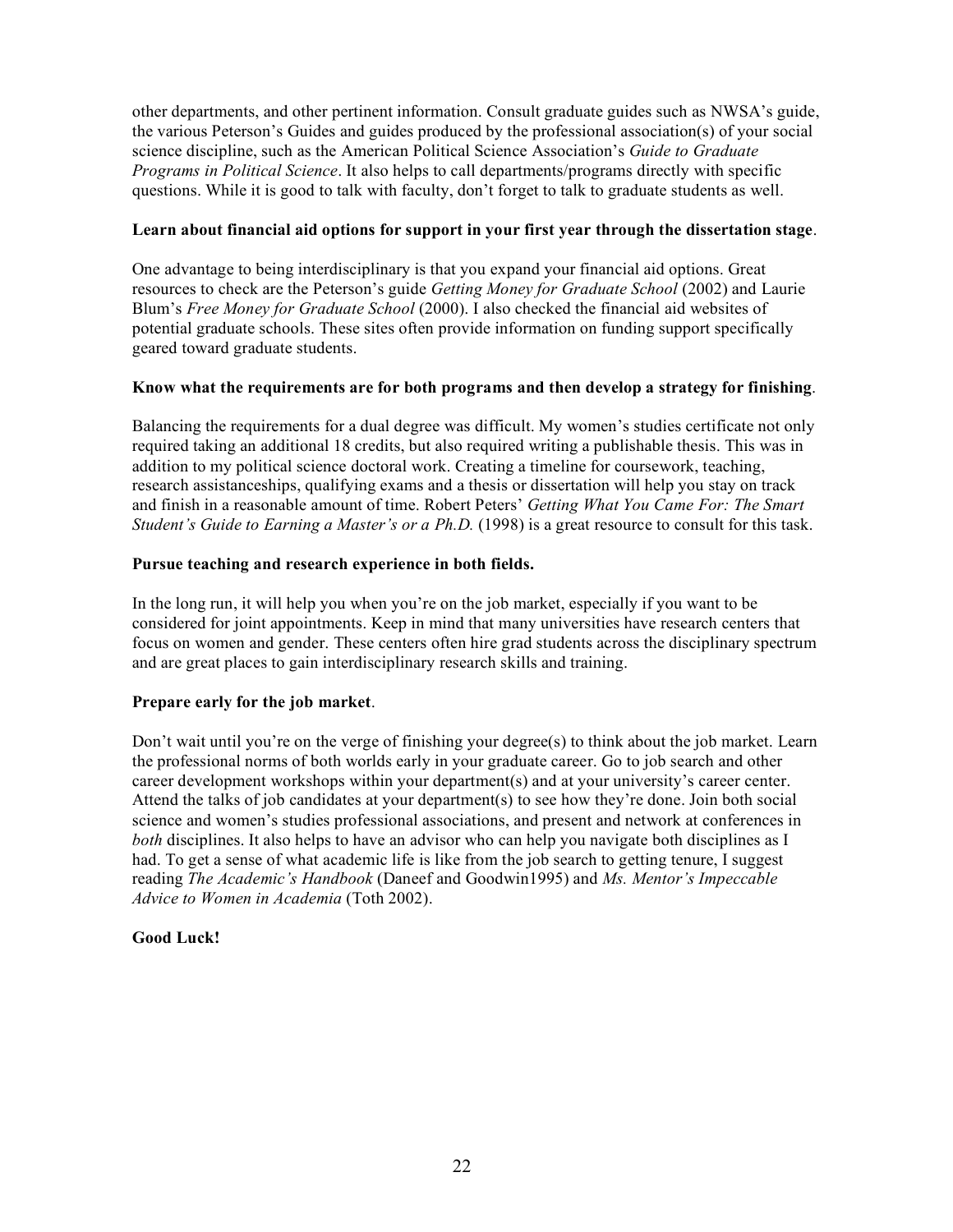other departments, and other pertinent information. Consult graduate guides such as NWSA's guide, the various Peterson's Guides and guides produced by the professional association(s) of your social science discipline, such as the American Political Science Association's *Guide to Graduate Programs in Political Science*. It also helps to call departments/programs directly with specific questions. While it is good to talk with faculty, don't forget to talk to graduate students as well.

# **Learn about financial aid options for support in your first year through the dissertation stage**.

One advantage to being interdisciplinary is that you expand your financial aid options. Great resources to check are the Peterson's guide *Getting Money for Graduate School* (2002) and Laurie Blum's *Free Money for Graduate School* (2000). I also checked the financial aid websites of potential graduate schools. These sites often provide information on funding support specifically geared toward graduate students.

# **Know what the requirements are for both programs and then develop a strategy for finishing**.

Balancing the requirements for a dual degree was difficult. My women's studies certificate not only required taking an additional 18 credits, but also required writing a publishable thesis. This was in addition to my political science doctoral work. Creating a timeline for coursework, teaching, research assistanceships, qualifying exams and a thesis or dissertation will help you stay on track and finish in a reasonable amount of time. Robert Peters' *Getting What You Came For: The Smart Student's Guide to Earning a Master's or a Ph.D.* (1998) is a great resource to consult for this task.

# **Pursue teaching and research experience in both fields.**

In the long run, it will help you when you're on the job market, especially if you want to be considered for joint appointments. Keep in mind that many universities have research centers that focus on women and gender. These centers often hire grad students across the disciplinary spectrum and are great places to gain interdisciplinary research skills and training.

# **Prepare early for the job market**.

Don't wait until you're on the verge of finishing your degree(s) to think about the job market. Learn the professional norms of both worlds early in your graduate career. Go to job search and other career development workshops within your department(s) and at your university's career center. Attend the talks of job candidates at your department(s) to see how they're done. Join both social science and women's studies professional associations, and present and network at conferences in *both* disciplines. It also helps to have an advisor who can help you navigate both disciplines as I had. To get a sense of what academic life is like from the job search to getting tenure, I suggest reading *The Academic's Handbook* (Daneef and Goodwin1995) and *Ms. Mentor's Impeccable Advice to Women in Academia* (Toth 2002).

# **Good Luck!**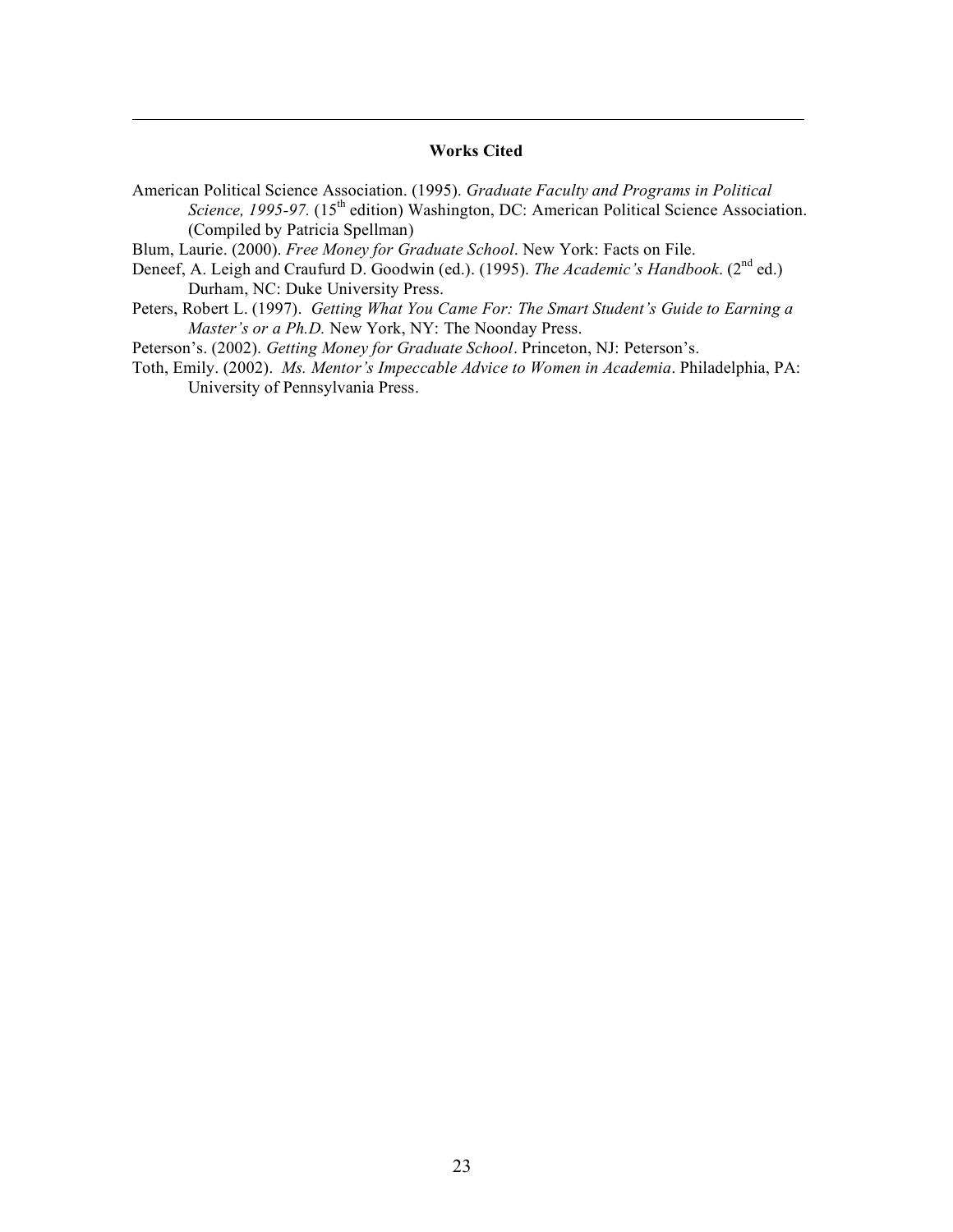### **Works Cited**

American Political Science Association. (1995). *Graduate Faculty and Programs in Political Science, 1995-97.* (15th edition) Washington, DC: American Political Science Association. (Compiled by Patricia Spellman)

Blum, Laurie. (2000). *Free Money for Graduate School*. New York: Facts on File.

- Deneef, A. Leigh and Craufurd D. Goodwin (ed.). (1995). *The Academic's Handbook*. (2<sup>nd</sup> ed.) Durham, NC: Duke University Press.
- Peters, Robert L. (1997). *Getting What You Came For: The Smart Student's Guide to Earning a Master's or a Ph.D.* New York, NY: The Noonday Press.

Peterson's. (2002). *Getting Money for Graduate School*. Princeton, NJ: Peterson's.

Toth, Emily. (2002). *Ms. Mentor's Impeccable Advice to Women in Academia*. Philadelphia, PA: University of Pennsylvania Press.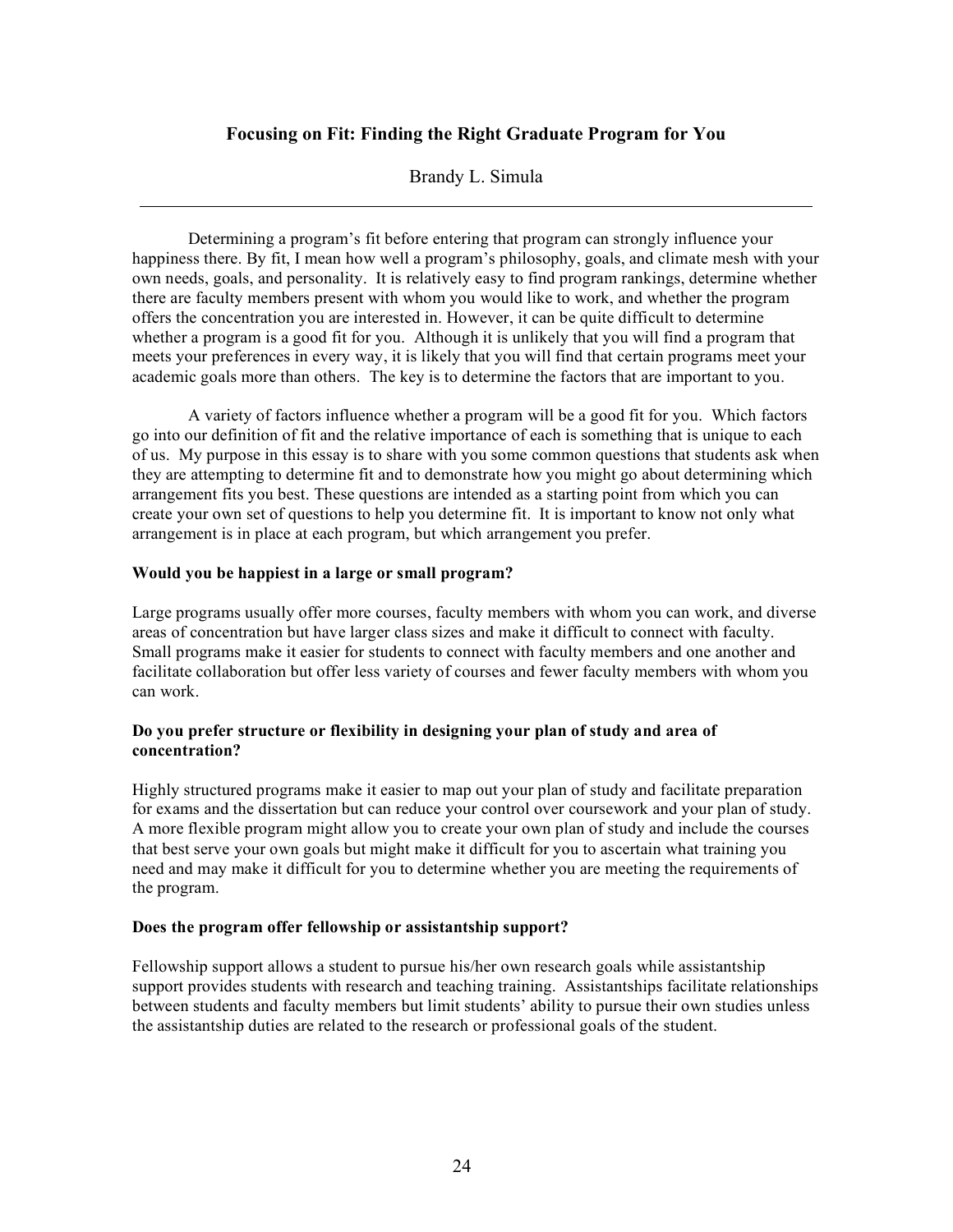# **Focusing on Fit: Finding the Right Graduate Program for You**

Brandy L. Simula

Determining a program's fit before entering that program can strongly influence your happiness there. By fit, I mean how well a program's philosophy, goals, and climate mesh with your own needs, goals, and personality. It is relatively easy to find program rankings, determine whether there are faculty members present with whom you would like to work, and whether the program offers the concentration you are interested in. However, it can be quite difficult to determine whether a program is a good fit for you. Although it is unlikely that you will find a program that meets your preferences in every way, it is likely that you will find that certain programs meet your academic goals more than others. The key is to determine the factors that are important to you.

A variety of factors influence whether a program will be a good fit for you. Which factors go into our definition of fit and the relative importance of each is something that is unique to each of us. My purpose in this essay is to share with you some common questions that students ask when they are attempting to determine fit and to demonstrate how you might go about determining which arrangement fits you best. These questions are intended as a starting point from which you can create your own set of questions to help you determine fit. It is important to know not only what arrangement is in place at each program, but which arrangement you prefer.

### **Would you be happiest in a large or small program?**

Large programs usually offer more courses, faculty members with whom you can work, and diverse areas of concentration but have larger class sizes and make it difficult to connect with faculty. Small programs make it easier for students to connect with faculty members and one another and facilitate collaboration but offer less variety of courses and fewer faculty members with whom you can work.

### **Do you prefer structure or flexibility in designing your plan of study and area of concentration?**

Highly structured programs make it easier to map out your plan of study and facilitate preparation for exams and the dissertation but can reduce your control over coursework and your plan of study. A more flexible program might allow you to create your own plan of study and include the courses that best serve your own goals but might make it difficult for you to ascertain what training you need and may make it difficult for you to determine whether you are meeting the requirements of the program.

#### **Does the program offer fellowship or assistantship support?**

Fellowship support allows a student to pursue his/her own research goals while assistantship support provides students with research and teaching training. Assistantships facilitate relationships between students and faculty members but limit students' ability to pursue their own studies unless the assistantship duties are related to the research or professional goals of the student.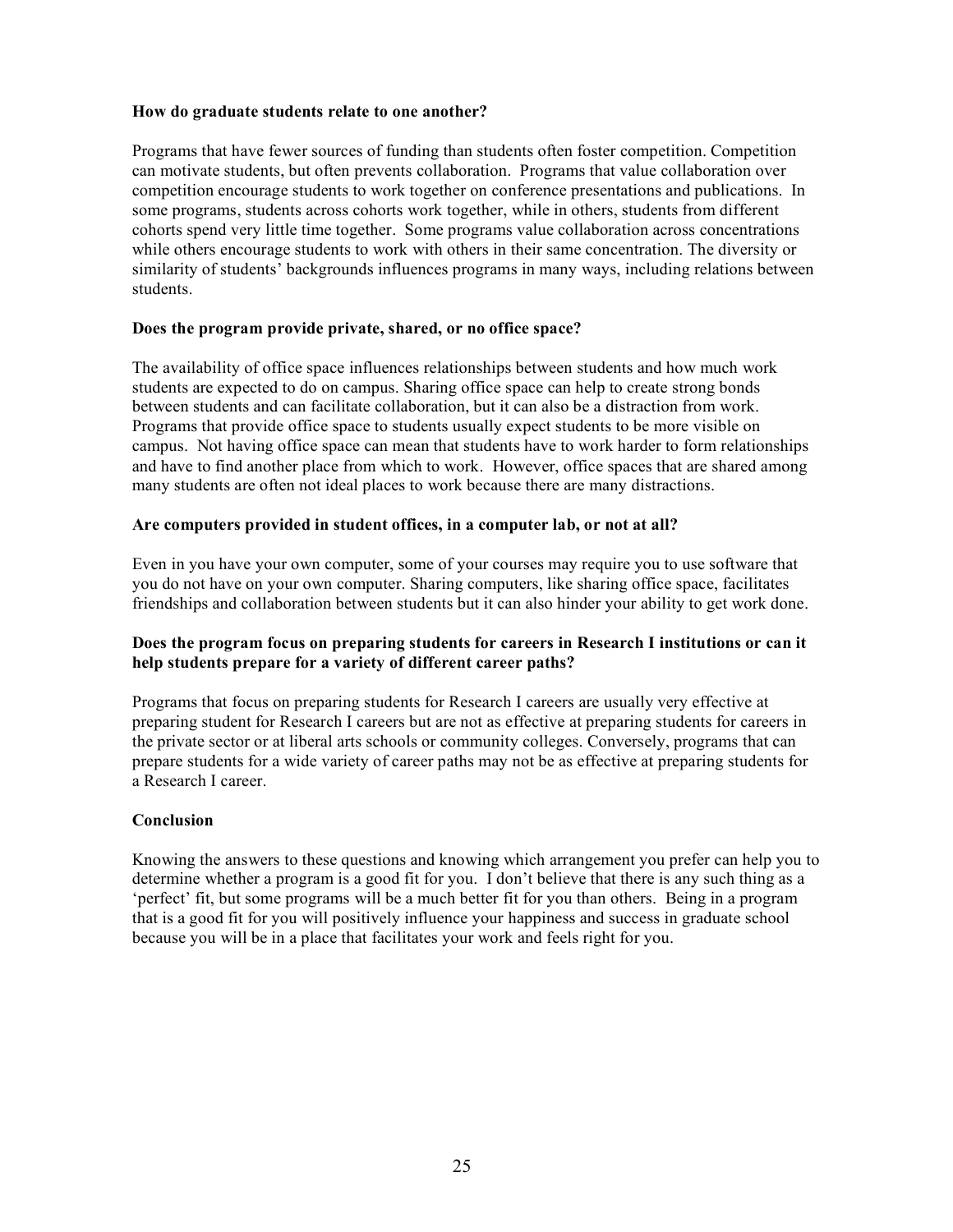### **How do graduate students relate to one another?**

Programs that have fewer sources of funding than students often foster competition. Competition can motivate students, but often prevents collaboration. Programs that value collaboration over competition encourage students to work together on conference presentations and publications. In some programs, students across cohorts work together, while in others, students from different cohorts spend very little time together. Some programs value collaboration across concentrations while others encourage students to work with others in their same concentration. The diversity or similarity of students' backgrounds influences programs in many ways, including relations between students.

### **Does the program provide private, shared, or no office space?**

The availability of office space influences relationships between students and how much work students are expected to do on campus. Sharing office space can help to create strong bonds between students and can facilitate collaboration, but it can also be a distraction from work. Programs that provide office space to students usually expect students to be more visible on campus. Not having office space can mean that students have to work harder to form relationships and have to find another place from which to work. However, office spaces that are shared among many students are often not ideal places to work because there are many distractions.

### **Are computers provided in student offices, in a computer lab, or not at all?**

Even in you have your own computer, some of your courses may require you to use software that you do not have on your own computer. Sharing computers, like sharing office space, facilitates friendships and collaboration between students but it can also hinder your ability to get work done.

### **Does the program focus on preparing students for careers in Research I institutions or can it help students prepare for a variety of different career paths?**

Programs that focus on preparing students for Research I careers are usually very effective at preparing student for Research I careers but are not as effective at preparing students for careers in the private sector or at liberal arts schools or community colleges. Conversely, programs that can prepare students for a wide variety of career paths may not be as effective at preparing students for a Research I career.

### **Conclusion**

Knowing the answers to these questions and knowing which arrangement you prefer can help you to determine whether a program is a good fit for you. I don't believe that there is any such thing as a 'perfect' fit, but some programs will be a much better fit for you than others. Being in a program that is a good fit for you will positively influence your happiness and success in graduate school because you will be in a place that facilitates your work and feels right for you.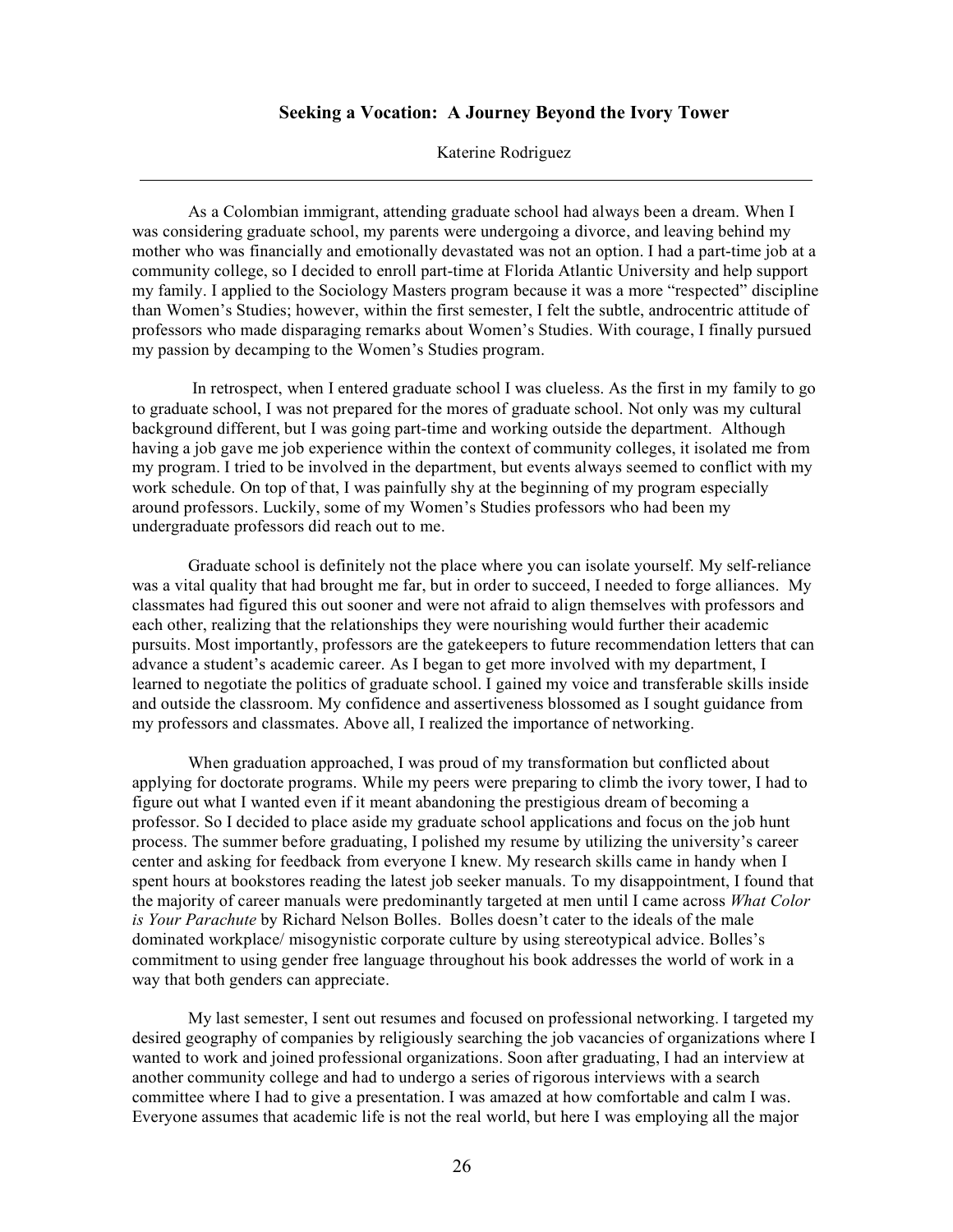#### **Seeking a Vocation: A Journey Beyond the Ivory Tower**

Katerine Rodriguez

As a Colombian immigrant, attending graduate school had always been a dream. When I was considering graduate school, my parents were undergoing a divorce, and leaving behind my mother who was financially and emotionally devastated was not an option. I had a part-time job at a community college, so I decided to enroll part-time at Florida Atlantic University and help support my family. I applied to the Sociology Masters program because it was a more "respected" discipline than Women's Studies; however, within the first semester, I felt the subtle, androcentric attitude of professors who made disparaging remarks about Women's Studies. With courage, I finally pursued my passion by decamping to the Women's Studies program.

In retrospect, when I entered graduate school I was clueless. As the first in my family to go to graduate school, I was not prepared for the mores of graduate school. Not only was my cultural background different, but I was going part-time and working outside the department. Although having a job gave me job experience within the context of community colleges, it isolated me from my program. I tried to be involved in the department, but events always seemed to conflict with my work schedule. On top of that, I was painfully shy at the beginning of my program especially around professors. Luckily, some of my Women's Studies professors who had been my undergraduate professors did reach out to me.

Graduate school is definitely not the place where you can isolate yourself. My self-reliance was a vital quality that had brought me far, but in order to succeed, I needed to forge alliances. My classmates had figured this out sooner and were not afraid to align themselves with professors and each other, realizing that the relationships they were nourishing would further their academic pursuits. Most importantly, professors are the gatekeepers to future recommendation letters that can advance a student's academic career. As I began to get more involved with my department, I learned to negotiate the politics of graduate school. I gained my voice and transferable skills inside and outside the classroom. My confidence and assertiveness blossomed as I sought guidance from my professors and classmates. Above all, I realized the importance of networking.

When graduation approached, I was proud of my transformation but conflicted about applying for doctorate programs. While my peers were preparing to climb the ivory tower, I had to figure out what I wanted even if it meant abandoning the prestigious dream of becoming a professor. So I decided to place aside my graduate school applications and focus on the job hunt process. The summer before graduating, I polished my resume by utilizing the university's career center and asking for feedback from everyone I knew. My research skills came in handy when I spent hours at bookstores reading the latest job seeker manuals. To my disappointment, I found that the majority of career manuals were predominantly targeted at men until I came across *What Color is Your Parachute* by Richard Nelson Bolles. Bolles doesn't cater to the ideals of the male dominated workplace/ misogynistic corporate culture by using stereotypical advice. Bolles's commitment to using gender free language throughout his book addresses the world of work in a way that both genders can appreciate.

My last semester, I sent out resumes and focused on professional networking. I targeted my desired geography of companies by religiously searching the job vacancies of organizations where I wanted to work and joined professional organizations. Soon after graduating, I had an interview at another community college and had to undergo a series of rigorous interviews with a search committee where I had to give a presentation. I was amazed at how comfortable and calm I was. Everyone assumes that academic life is not the real world, but here I was employing all the major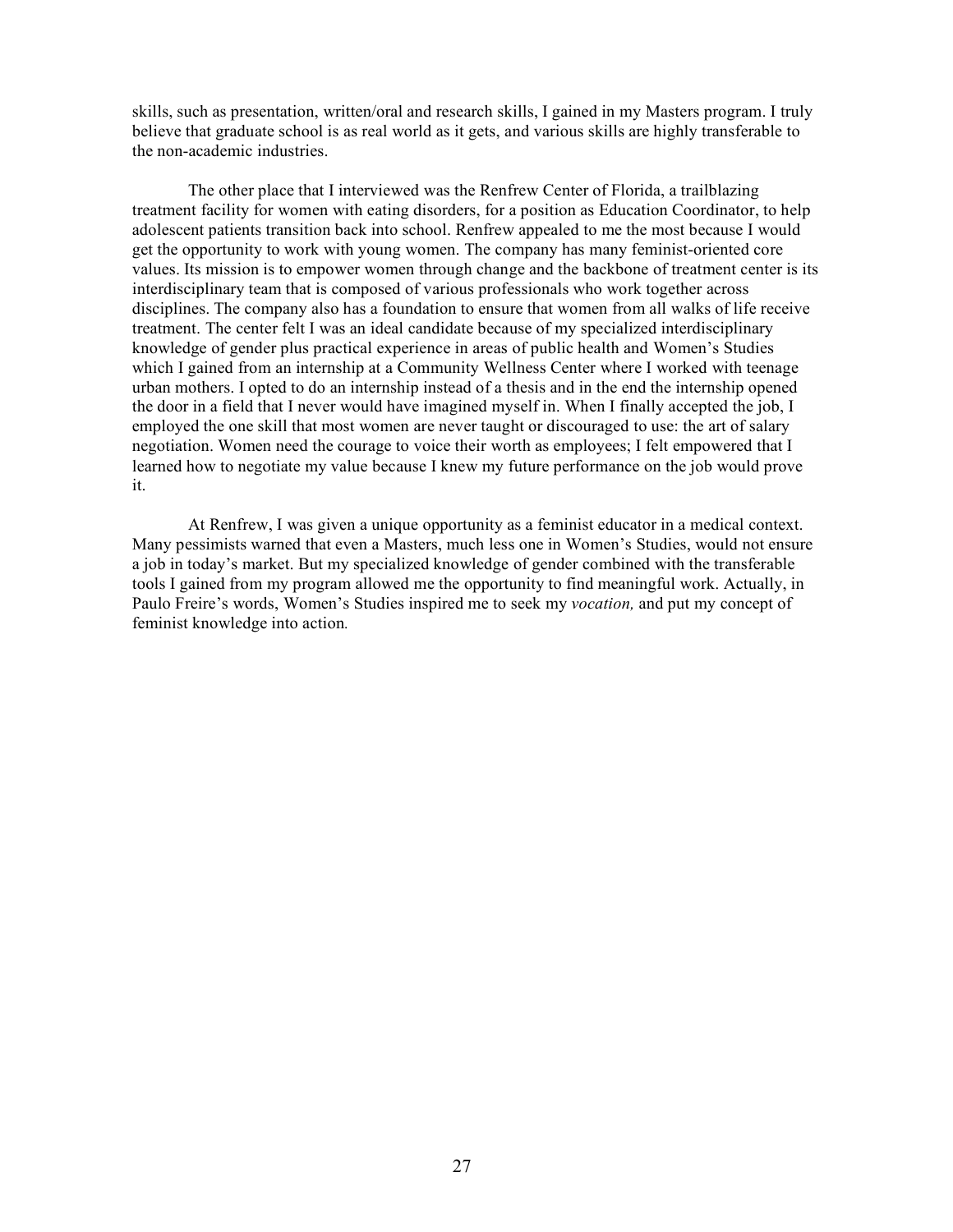skills, such as presentation, written/oral and research skills, I gained in my Masters program. I truly believe that graduate school is as real world as it gets, and various skills are highly transferable to the non-academic industries.

The other place that I interviewed was the Renfrew Center of Florida, a trailblazing treatment facility for women with eating disorders, for a position as Education Coordinator, to help adolescent patients transition back into school. Renfrew appealed to me the most because I would get the opportunity to work with young women. The company has many feminist-oriented core values. Its mission is to empower women through change and the backbone of treatment center is its interdisciplinary team that is composed of various professionals who work together across disciplines. The company also has a foundation to ensure that women from all walks of life receive treatment. The center felt I was an ideal candidate because of my specialized interdisciplinary knowledge of gender plus practical experience in areas of public health and Women's Studies which I gained from an internship at a Community Wellness Center where I worked with teenage urban mothers. I opted to do an internship instead of a thesis and in the end the internship opened the door in a field that I never would have imagined myself in. When I finally accepted the job, I employed the one skill that most women are never taught or discouraged to use: the art of salary negotiation. Women need the courage to voice their worth as employees; I felt empowered that I learned how to negotiate my value because I knew my future performance on the job would prove it.

At Renfrew, I was given a unique opportunity as a feminist educator in a medical context. Many pessimists warned that even a Masters, much less one in Women's Studies, would not ensure a job in today's market. But my specialized knowledge of gender combined with the transferable tools I gained from my program allowed me the opportunity to find meaningful work. Actually, in Paulo Freire's words, Women's Studies inspired me to seek my *vocation,* and put my concept of feminist knowledge into action*.*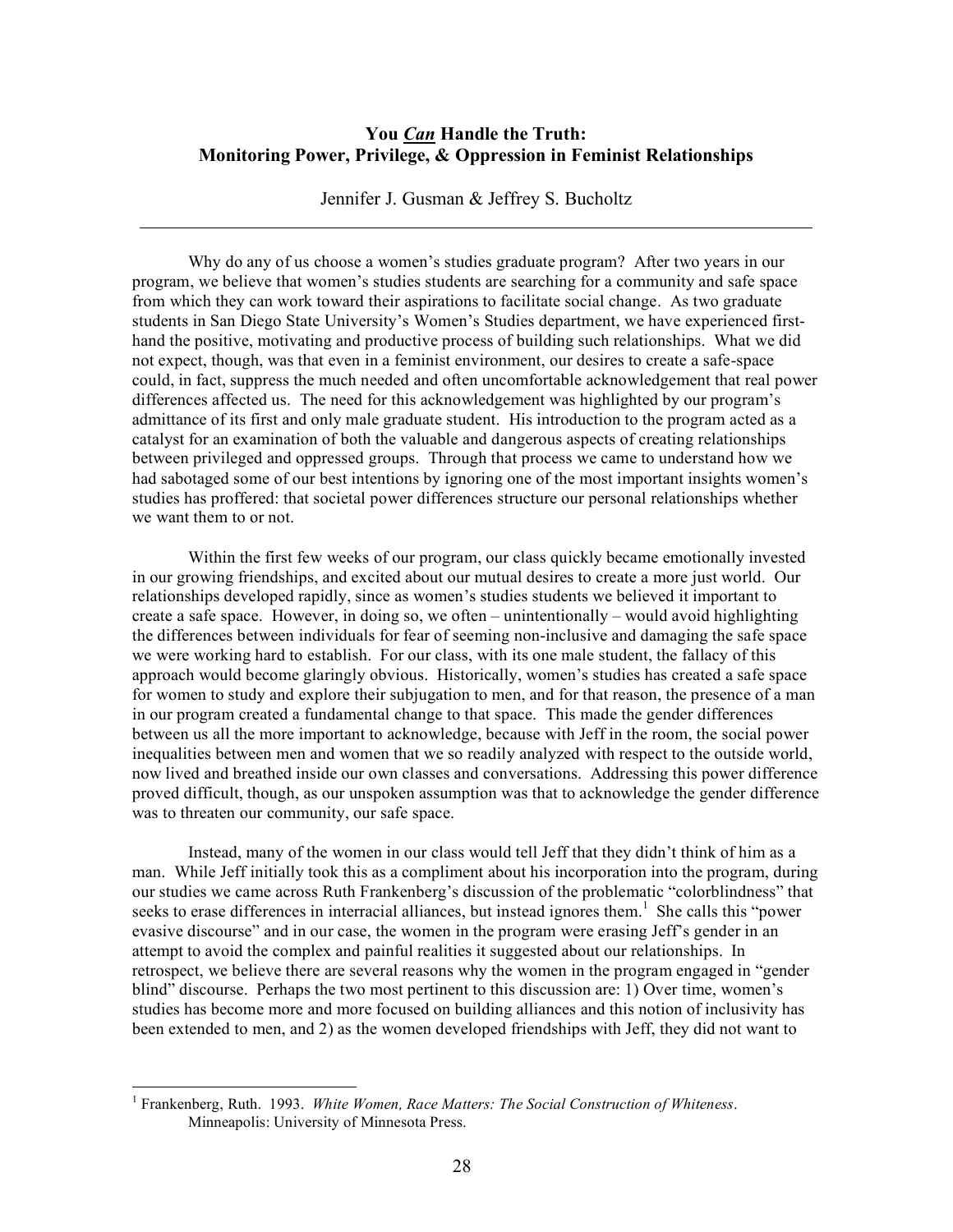# **You** *Can* **Handle the Truth: Monitoring Power, Privilege, & Oppression in Feminist Relationships**

Jennifer J. Gusman & Jeffrey S. Bucholtz

Why do any of us choose a women's studies graduate program? After two years in our program, we believe that women's studies students are searching for a community and safe space from which they can work toward their aspirations to facilitate social change. As two graduate students in San Diego State University's Women's Studies department, we have experienced firsthand the positive, motivating and productive process of building such relationships. What we did not expect, though, was that even in a feminist environment, our desires to create a safe-space could, in fact, suppress the much needed and often uncomfortable acknowledgement that real power differences affected us. The need for this acknowledgement was highlighted by our program's admittance of its first and only male graduate student. His introduction to the program acted as a catalyst for an examination of both the valuable and dangerous aspects of creating relationships between privileged and oppressed groups. Through that process we came to understand how we had sabotaged some of our best intentions by ignoring one of the most important insights women's studies has proffered: that societal power differences structure our personal relationships whether we want them to or not.

Within the first few weeks of our program, our class quickly became emotionally invested in our growing friendships, and excited about our mutual desires to create a more just world. Our relationships developed rapidly, since as women's studies students we believed it important to create a safe space. However, in doing so, we often – unintentionally – would avoid highlighting the differences between individuals for fear of seeming non-inclusive and damaging the safe space we were working hard to establish. For our class, with its one male student, the fallacy of this approach would become glaringly obvious. Historically, women's studies has created a safe space for women to study and explore their subjugation to men, and for that reason, the presence of a man in our program created a fundamental change to that space. This made the gender differences between us all the more important to acknowledge, because with Jeff in the room, the social power inequalities between men and women that we so readily analyzed with respect to the outside world, now lived and breathed inside our own classes and conversations. Addressing this power difference proved difficult, though, as our unspoken assumption was that to acknowledge the gender difference was to threaten our community, our safe space.

Instead, many of the women in our class would tell Jeff that they didn't think of him as a man. While Jeff initially took this as a compliment about his incorporation into the program, during our studies we came across Ruth Frankenberg's discussion of the problematic "colorblindness" that seeks to erase differences in interracial alliances, but instead ignores them.<sup>1</sup> She calls this "power evasive discourse" and in our case, the women in the program were erasing Jeff's gender in an attempt to avoid the complex and painful realities it suggested about our relationships. In retrospect, we believe there are several reasons why the women in the program engaged in "gender blind" discourse. Perhaps the two most pertinent to this discussion are: 1) Over time, women's studies has become more and more focused on building alliances and this notion of inclusivity has been extended to men, and 2) as the women developed friendships with Jeff, they did not want to

 <sup>1</sup> Frankenberg, Ruth. 1993. *White Women, Race Matters: The Social Construction of Whiteness*. Minneapolis: University of Minnesota Press.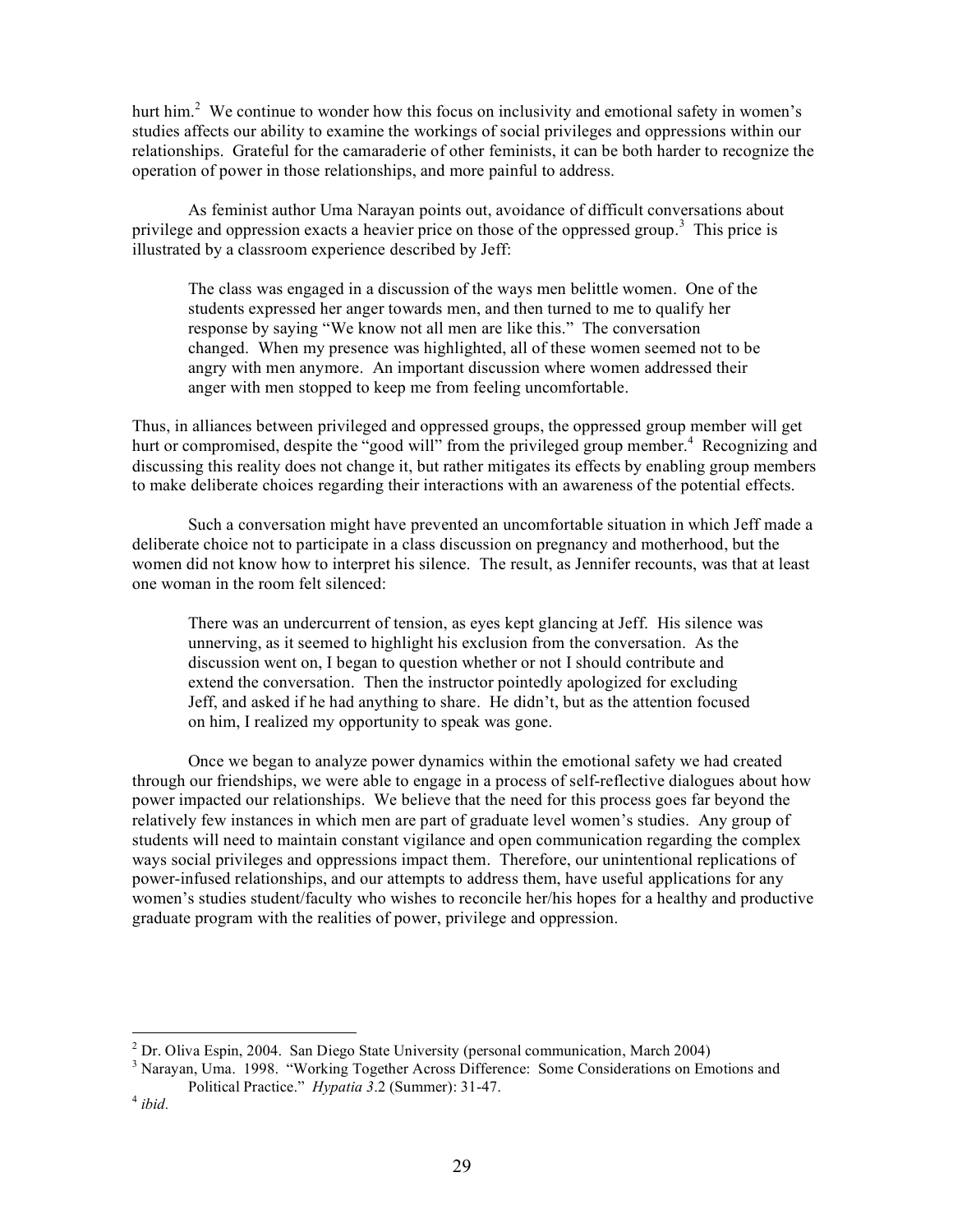hurt him.<sup>2</sup> We continue to wonder how this focus on inclusivity and emotional safety in women's studies affects our ability to examine the workings of social privileges and oppressions within our relationships. Grateful for the camaraderie of other feminists, it can be both harder to recognize the operation of power in those relationships, and more painful to address.

As feminist author Uma Narayan points out, avoidance of difficult conversations about privilege and oppression exacts a heavier price on those of the oppressed group.<sup>3</sup> This price is illustrated by a classroom experience described by Jeff:

The class was engaged in a discussion of the ways men belittle women. One of the students expressed her anger towards men, and then turned to me to qualify her response by saying "We know not all men are like this." The conversation changed. When my presence was highlighted, all of these women seemed not to be angry with men anymore. An important discussion where women addressed their anger with men stopped to keep me from feeling uncomfortable.

Thus, in alliances between privileged and oppressed groups, the oppressed group member will get hurt or compromised, despite the "good will" from the privileged group member.<sup>4</sup> Recognizing and discussing this reality does not change it, but rather mitigates its effects by enabling group members to make deliberate choices regarding their interactions with an awareness of the potential effects.

Such a conversation might have prevented an uncomfortable situation in which Jeff made a deliberate choice not to participate in a class discussion on pregnancy and motherhood, but the women did not know how to interpret his silence. The result, as Jennifer recounts, was that at least one woman in the room felt silenced:

There was an undercurrent of tension, as eyes kept glancing at Jeff. His silence was unnerving, as it seemed to highlight his exclusion from the conversation. As the discussion went on, I began to question whether or not I should contribute and extend the conversation. Then the instructor pointedly apologized for excluding Jeff, and asked if he had anything to share. He didn't, but as the attention focused on him, I realized my opportunity to speak was gone.

Once we began to analyze power dynamics within the emotional safety we had created through our friendships, we were able to engage in a process of self-reflective dialogues about how power impacted our relationships. We believe that the need for this process goes far beyond the relatively few instances in which men are part of graduate level women's studies. Any group of students will need to maintain constant vigilance and open communication regarding the complex ways social privileges and oppressions impact them. Therefore, our unintentional replications of power-infused relationships, and our attempts to address them, have useful applications for any women's studies student/faculty who wishes to reconcile her/his hopes for a healthy and productive graduate program with the realities of power, privilege and oppression.

 $2^2$  Dr. Oliva Espin, 2004. San Diego State University (personal communication, March 2004)  $3$  Narayan, Uma. 1998. "Working Together Across Difference: Some Considerations on Emotions and Political Practice." *Hypatia <sup>3</sup>*.2 (Summer): 31-47. <sup>4</sup> *ibid.*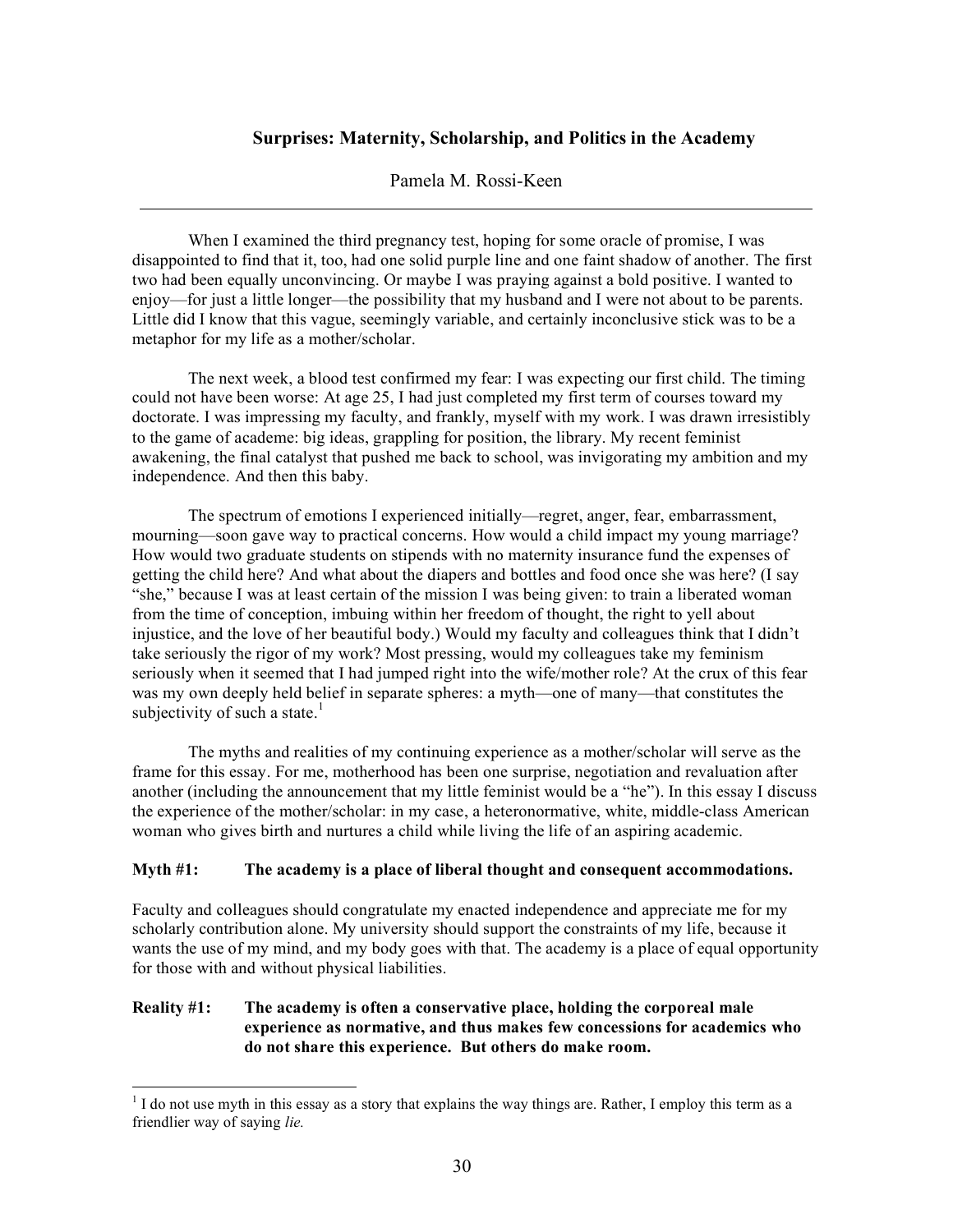# **Surprises: Maternity, Scholarship, and Politics in the Academy**

### Pamela M. Rossi-Keen

When I examined the third pregnancy test, hoping for some oracle of promise, I was disappointed to find that it, too, had one solid purple line and one faint shadow of another. The first two had been equally unconvincing. Or maybe I was praying against a bold positive. I wanted to enjoy—for just a little longer—the possibility that my husband and I were not about to be parents. Little did I know that this vague, seemingly variable, and certainly inconclusive stick was to be a metaphor for my life as a mother/scholar.

The next week, a blood test confirmed my fear: I was expecting our first child. The timing could not have been worse: At age 25, I had just completed my first term of courses toward my doctorate. I was impressing my faculty, and frankly, myself with my work. I was drawn irresistibly to the game of academe: big ideas, grappling for position, the library. My recent feminist awakening, the final catalyst that pushed me back to school, was invigorating my ambition and my independence. And then this baby.

The spectrum of emotions I experienced initially—regret, anger, fear, embarrassment, mourning—soon gave way to practical concerns. How would a child impact my young marriage? How would two graduate students on stipends with no maternity insurance fund the expenses of getting the child here? And what about the diapers and bottles and food once she was here? (I say "she," because I was at least certain of the mission I was being given: to train a liberated woman from the time of conception, imbuing within her freedom of thought, the right to yell about injustice, and the love of her beautiful body.) Would my faculty and colleagues think that I didn't take seriously the rigor of my work? Most pressing, would my colleagues take my feminism seriously when it seemed that I had jumped right into the wife/mother role? At the crux of this fear was my own deeply held belief in separate spheres: a myth—one of many—that constitutes the subjectivity of such a state.<sup>1</sup>

The myths and realities of my continuing experience as a mother/scholar will serve as the frame for this essay. For me, motherhood has been one surprise, negotiation and revaluation after another (including the announcement that my little feminist would be a "he"). In this essay I discuss the experience of the mother/scholar: in my case, a heteronormative, white, middle-class American woman who gives birth and nurtures a child while living the life of an aspiring academic.

#### **Myth #1: The academy is a place of liberal thought and consequent accommodations.**

Faculty and colleagues should congratulate my enacted independence and appreciate me for my scholarly contribution alone. My university should support the constraints of my life, because it wants the use of my mind, and my body goes with that. The academy is a place of equal opportunity for those with and without physical liabilities.

# **Reality #1: The academy is often a conservative place, holding the corporeal male experience as normative, and thus makes few concessions for academics who do not share this experience. But others do make room.**

<sup>&</sup>lt;sup>1</sup> I do not use myth in this essay as a story that explains the way things are. Rather, I employ this term as a friendlier way of saying *lie.*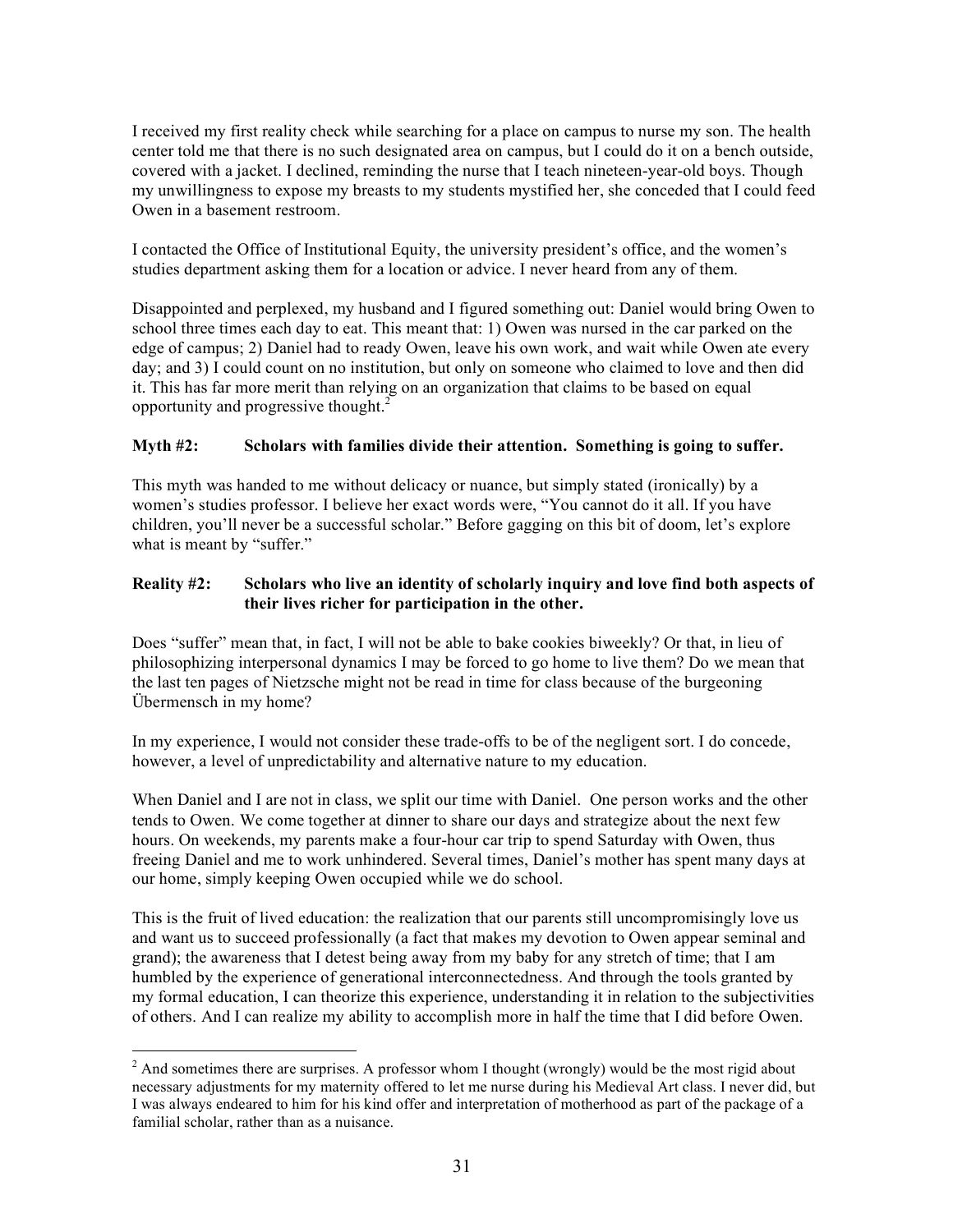I received my first reality check while searching for a place on campus to nurse my son. The health center told me that there is no such designated area on campus, but I could do it on a bench outside, covered with a jacket. I declined, reminding the nurse that I teach nineteen-year-old boys. Though my unwillingness to expose my breasts to my students mystified her, she conceded that I could feed Owen in a basement restroom.

I contacted the Office of Institutional Equity, the university president's office, and the women's studies department asking them for a location or advice. I never heard from any of them.

Disappointed and perplexed, my husband and I figured something out: Daniel would bring Owen to school three times each day to eat. This meant that: 1) Owen was nursed in the car parked on the edge of campus; 2) Daniel had to ready Owen, leave his own work, and wait while Owen ate every day; and 3) I could count on no institution, but only on someone who claimed to love and then did it. This has far more merit than relying on an organization that claims to be based on equal opportunity and progressive thought. 2

# **Myth #2: Scholars with families divide their attention. Something is going to suffer.**

This myth was handed to me without delicacy or nuance, but simply stated (ironically) by a women's studies professor. I believe her exact words were, "You cannot do it all. If you have children, you'll never be a successful scholar." Before gagging on this bit of doom, let's explore what is meant by "suffer."

### **Reality #2: Scholars who live an identity of scholarly inquiry and love find both aspects of their lives richer for participation in the other.**

Does "suffer" mean that, in fact, I will not be able to bake cookies biweekly? Or that, in lieu of philosophizing interpersonal dynamics I may be forced to go home to live them? Do we mean that the last ten pages of Nietzsche might not be read in time for class because of the burgeoning Übermensch in my home?

In my experience, I would not consider these trade-offs to be of the negligent sort. I do concede, however, a level of unpredictability and alternative nature to my education.

When Daniel and I are not in class, we split our time with Daniel. One person works and the other tends to Owen. We come together at dinner to share our days and strategize about the next few hours. On weekends, my parents make a four-hour car trip to spend Saturday with Owen, thus freeing Daniel and me to work unhindered. Several times, Daniel's mother has spent many days at our home, simply keeping Owen occupied while we do school.

This is the fruit of lived education: the realization that our parents still uncompromisingly love us and want us to succeed professionally (a fact that makes my devotion to Owen appear seminal and grand); the awareness that I detest being away from my baby for any stretch of time; that I am humbled by the experience of generational interconnectedness. And through the tools granted by my formal education, I can theorize this experience, understanding it in relation to the subjectivities of others. And I can realize my ability to accomplish more in half the time that I did before Owen.

 $2$  And sometimes there are surprises. A professor whom I thought (wrongly) would be the most rigid about necessary adjustments for my maternity offered to let me nurse during his Medieval Art class. I never did, but I was always endeared to him for his kind offer and interpretation of motherhood as part of the package of a familial scholar, rather than as a nuisance.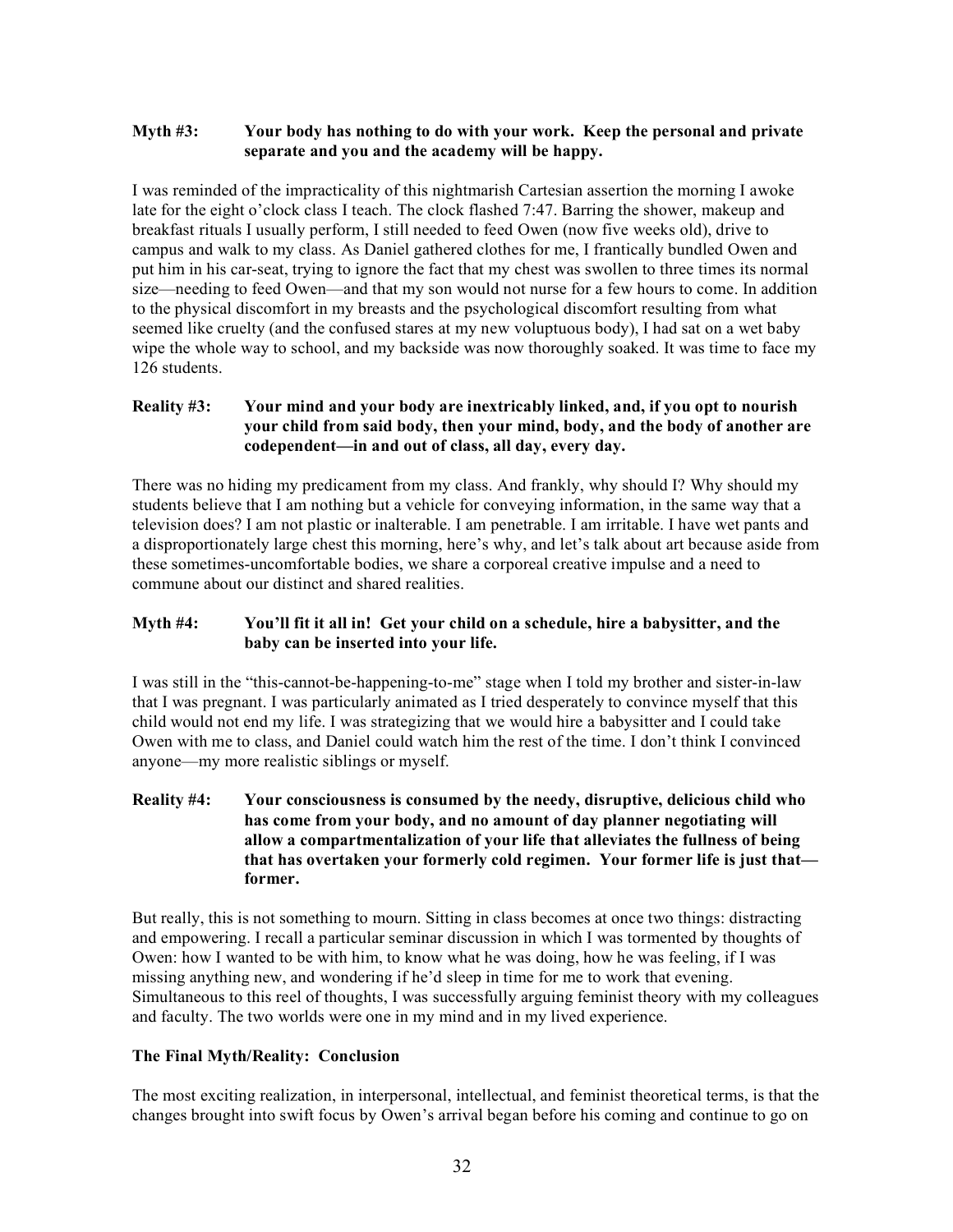# **Myth #3: Your body has nothing to do with your work. Keep the personal and private separate and you and the academy will be happy.**

I was reminded of the impracticality of this nightmarish Cartesian assertion the morning I awoke late for the eight o'clock class I teach. The clock flashed 7:47. Barring the shower, makeup and breakfast rituals I usually perform, I still needed to feed Owen (now five weeks old), drive to campus and walk to my class. As Daniel gathered clothes for me, I frantically bundled Owen and put him in his car-seat, trying to ignore the fact that my chest was swollen to three times its normal size—needing to feed Owen—and that my son would not nurse for a few hours to come. In addition to the physical discomfort in my breasts and the psychological discomfort resulting from what seemed like cruelty (and the confused stares at my new voluptuous body), I had sat on a wet baby wipe the whole way to school, and my backside was now thoroughly soaked. It was time to face my 126 students.

# **Reality #3: Your mind and your body are inextricably linked, and, if you opt to nourish your child from said body, then your mind, body, and the body of another are codependent—in and out of class, all day, every day.**

There was no hiding my predicament from my class. And frankly, why should I? Why should my students believe that I am nothing but a vehicle for conveying information, in the same way that a television does? I am not plastic or inalterable. I am penetrable. I am irritable. I have wet pants and a disproportionately large chest this morning, here's why, and let's talk about art because aside from these sometimes-uncomfortable bodies, we share a corporeal creative impulse and a need to commune about our distinct and shared realities.

# **Myth #4: You'll fit it all in! Get your child on a schedule, hire a babysitter, and the baby can be inserted into your life.**

I was still in the "this-cannot-be-happening-to-me" stage when I told my brother and sister-in-law that I was pregnant. I was particularly animated as I tried desperately to convince myself that this child would not end my life. I was strategizing that we would hire a babysitter and I could take Owen with me to class, and Daniel could watch him the rest of the time. I don't think I convinced anyone—my more realistic siblings or myself.

# **Reality #4: Your consciousness is consumed by the needy, disruptive, delicious child who has come from your body, and no amount of day planner negotiating will allow a compartmentalization of your life that alleviates the fullness of being that has overtaken your formerly cold regimen. Your former life is just that former.**

But really, this is not something to mourn. Sitting in class becomes at once two things: distracting and empowering. I recall a particular seminar discussion in which I was tormented by thoughts of Owen: how I wanted to be with him, to know what he was doing, how he was feeling, if I was missing anything new, and wondering if he'd sleep in time for me to work that evening. Simultaneous to this reel of thoughts, I was successfully arguing feminist theory with my colleagues and faculty. The two worlds were one in my mind and in my lived experience.

# **The Final Myth/Reality: Conclusion**

The most exciting realization, in interpersonal, intellectual, and feminist theoretical terms, is that the changes brought into swift focus by Owen's arrival began before his coming and continue to go on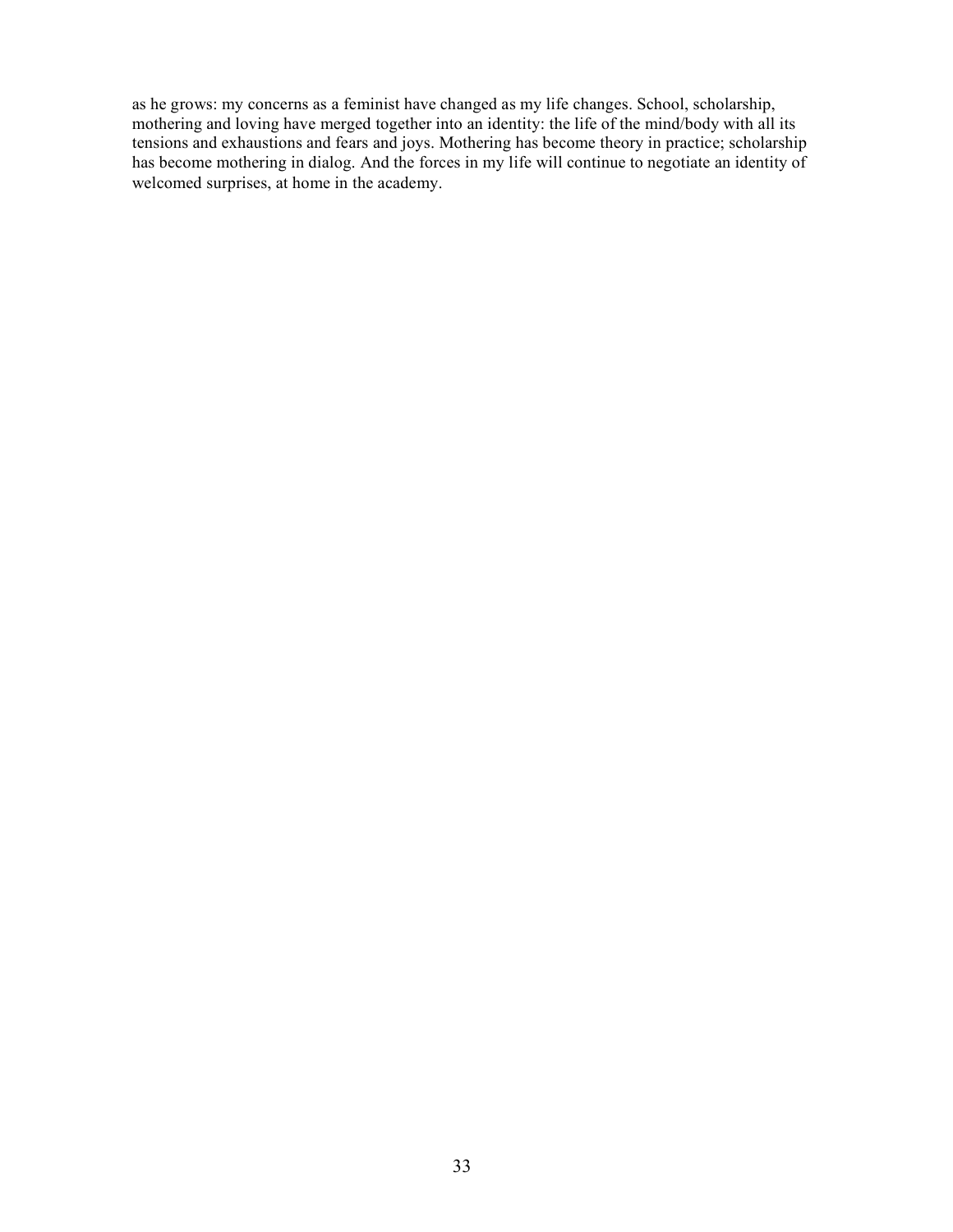as he grows: my concerns as a feminist have changed as my life changes. School, scholarship, mothering and loving have merged together into an identity: the life of the mind/body with all its tensions and exhaustions and fears and joys. Mothering has become theory in practice; scholarship has become mothering in dialog. And the forces in my life will continue to negotiate an identity of welcomed surprises, at home in the academy.